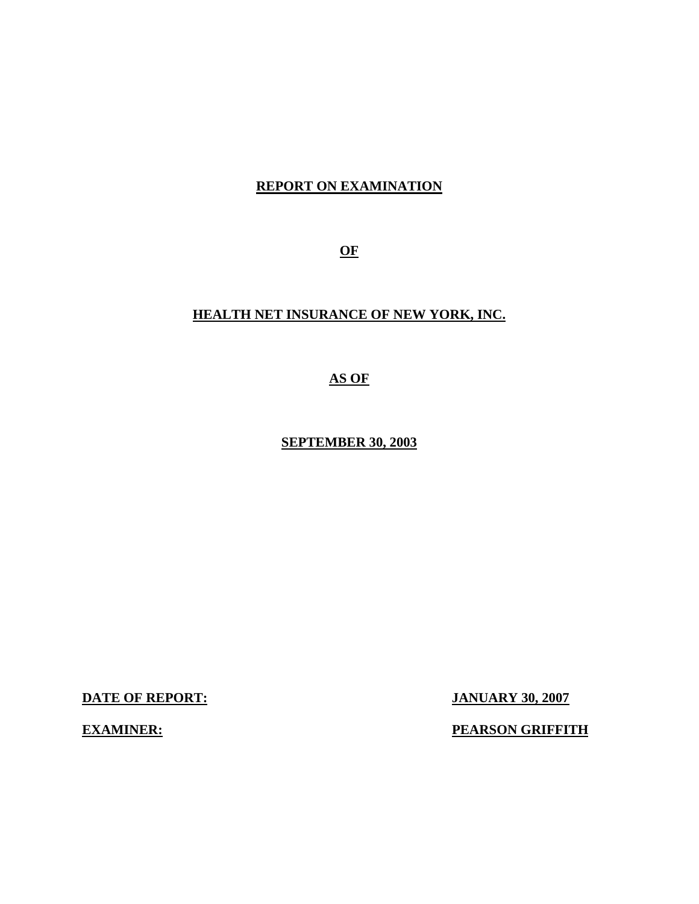## **REPORT ON EXAMINATION**

**OF** 

## **HEALTH NET INSURANCE OF NEW YORK, INC.**

**AS OF** 

**SEPTEMBER 30, 2003** 

**DATE OF REPORT: JANUARY 30, 2007** 

**EXAMINER:** PEARSON GRIFFITH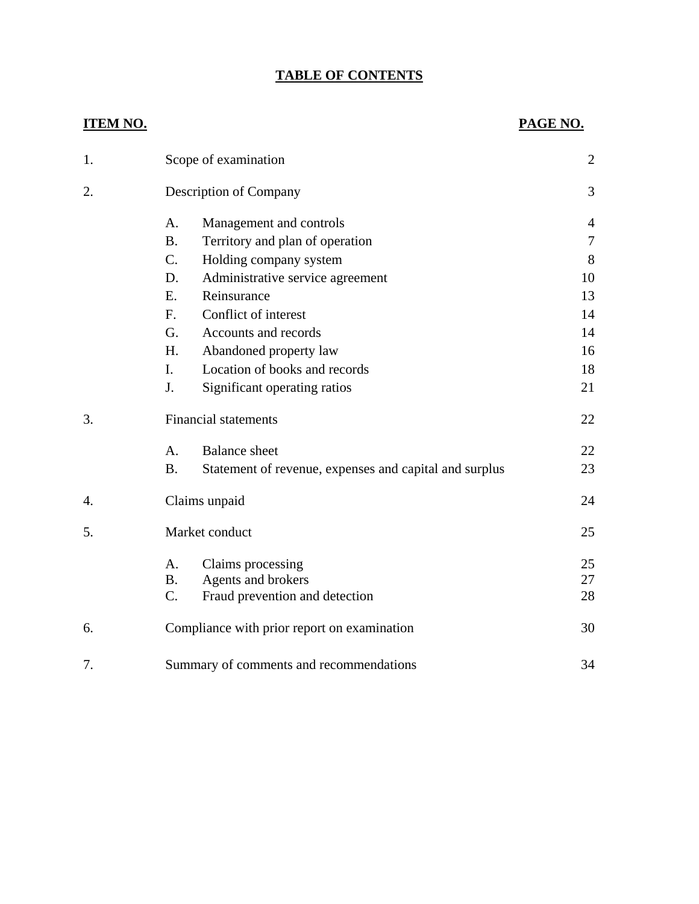# **TABLE OF CONTENTS**

| 1. |                             | Scope of examination                                   | $\overline{2}$ |
|----|-----------------------------|--------------------------------------------------------|----------------|
| 2. |                             | <b>Description of Company</b>                          | 3              |
|    | A.                          | Management and controls                                | 4              |
|    | <b>B.</b>                   | Territory and plan of operation                        | 7              |
|    | $C_{\cdot}$                 | Holding company system                                 | 8              |
|    | D.                          | Administrative service agreement                       | 10             |
|    | E.                          | Reinsurance                                            | 13             |
|    | $F_{\cdot}$                 | Conflict of interest                                   | 14             |
|    | G.                          | Accounts and records                                   | 14             |
|    | H.                          | Abandoned property law                                 | 16             |
|    | I.                          | Location of books and records                          | 18             |
|    | J.                          | Significant operating ratios                           | 21             |
| 3. | <b>Financial statements</b> |                                                        |                |
|    | A.                          | <b>Balance</b> sheet                                   | 22             |
|    | <b>B.</b>                   | Statement of revenue, expenses and capital and surplus | 23             |
| 4. | Claims unpaid               |                                                        | 24             |
| 5. | Market conduct              |                                                        | 25             |
|    | А.                          | Claims processing                                      | 25             |
|    | <b>B.</b>                   | Agents and brokers                                     | 27             |
|    | C.                          | Fraud prevention and detection                         | 28             |
| 6. |                             | Compliance with prior report on examination            | 30             |
| 7. |                             | Summary of comments and recommendations                | 34             |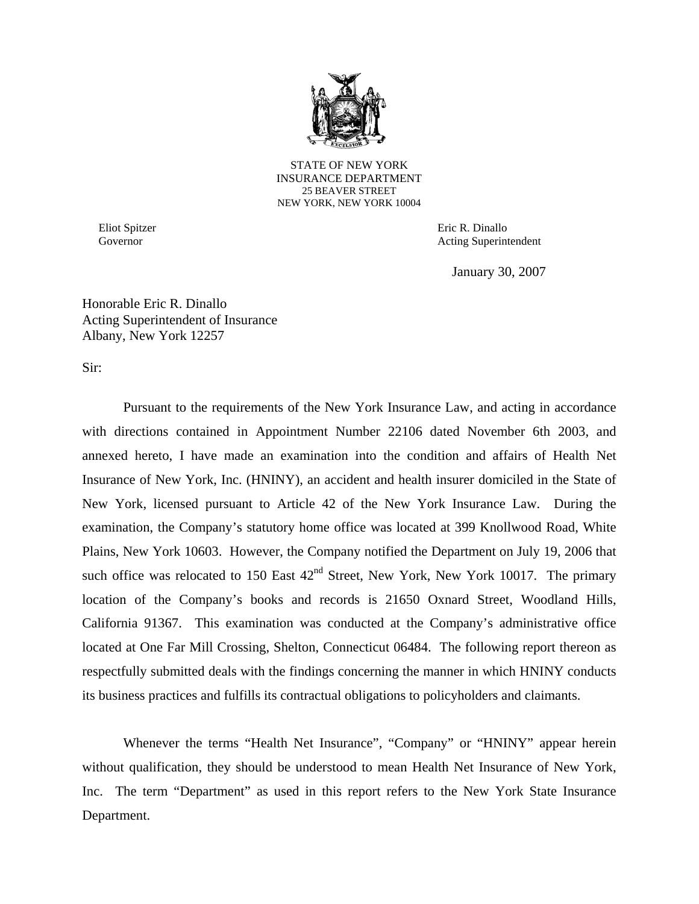

STATE OF NEW YORK INSURANCE DEPARTMENT 25 BEAVER STREET NEW YORK, NEW YORK 10004

Eliot Spitzer Governor

Eric R. Dinallo Acting Superintendent

January 30, 2007

Honorable Eric R. Dinallo Acting Superintendent of Insurance Albany, New York 12257

Sir:

Pursuant to the requirements of the New York Insurance Law, and acting in accordance with directions contained in Appointment Number 22106 dated November 6th 2003, and annexed hereto, I have made an examination into the condition and affairs of Health Net Insurance of New York, Inc. (HNINY), an accident and health insurer domiciled in the State of New York, licensed pursuant to Article 42 of the New York Insurance Law. During the examination, the Company's statutory home office was located at 399 Knollwood Road, White Plains, New York 10603. However, the Company notified the Department on July 19, 2006 that such office was relocated to 150 East  $42<sup>nd</sup>$  Street, New York, New York 10017. The primary location of the Company's books and records is 21650 Oxnard Street, Woodland Hills, California 91367. This examination was conducted at the Company's administrative office located at One Far Mill Crossing, Shelton, Connecticut 06484. The following report thereon as respectfully submitted deals with the findings concerning the manner in which HNINY conducts its business practices and fulfills its contractual obligations to policyholders and claimants.

Whenever the terms "Health Net Insurance", "Company" or "HNINY" appear herein without qualification, they should be understood to mean Health Net Insurance of New York, Inc. The term "Department" as used in this report refers to the New York State Insurance Department.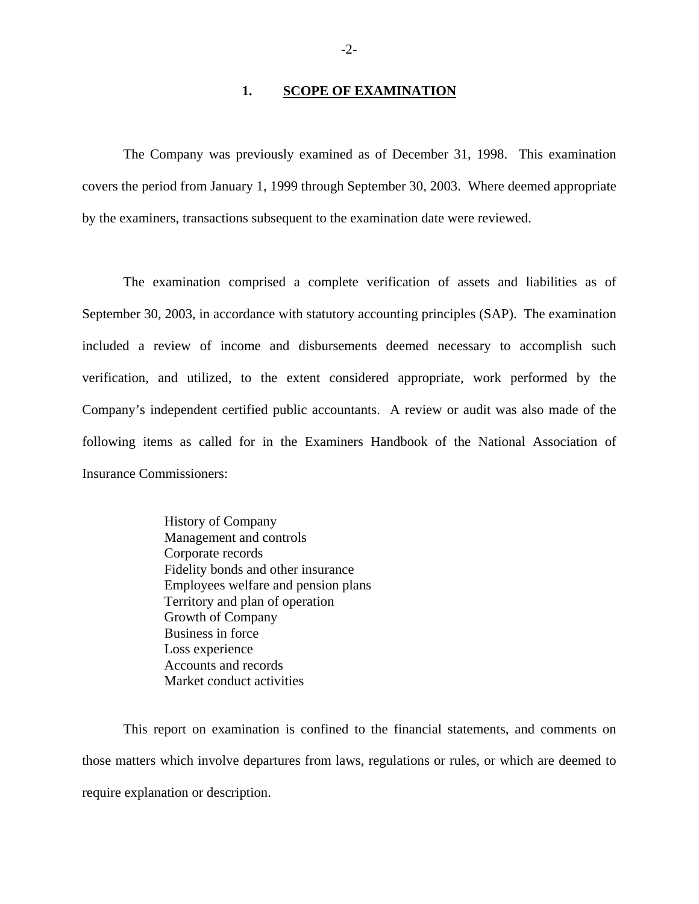#### **1. SCOPE OF EXAMINATION**

The Company was previously examined as of December 31, 1998. This examination covers the period from January 1, 1999 through September 30, 2003. Where deemed appropriate by the examiners, transactions subsequent to the examination date were reviewed.

The examination comprised a complete verification of assets and liabilities as of September 30, 2003, in accordance with statutory accounting principles (SAP). The examination included a review of income and disbursements deemed necessary to accomplish such verification, and utilized, to the extent considered appropriate, work performed by the Company's independent certified public accountants. A review or audit was also made of the following items as called for in the Examiners Handbook of the National Association of Insurance Commissioners:

> History of Company Management and controls Corporate records Fidelity bonds and other insurance Employees welfare and pension plans Territory and plan of operation Growth of Company Business in force Loss experience Accounts and records Market conduct activities

This report on examination is confined to the financial statements, and comments on those matters which involve departures from laws, regulations or rules, or which are deemed to require explanation or description.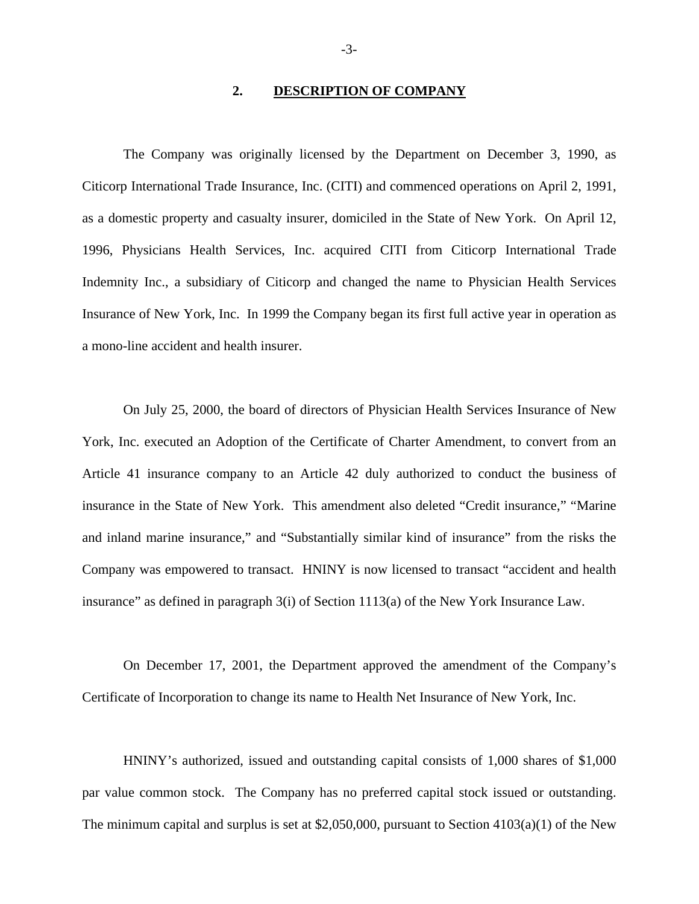#### **2. DESCRIPTION OF COMPANY**

The Company was originally licensed by the Department on December 3, 1990, as Citicorp International Trade Insurance, Inc. (CITI) and commenced operations on April 2, 1991, as a domestic property and casualty insurer, domiciled in the State of New York. On April 12, 1996, Physicians Health Services, Inc. acquired CITI from Citicorp International Trade Indemnity Inc., a subsidiary of Citicorp and changed the name to Physician Health Services Insurance of New York, Inc. In 1999 the Company began its first full active year in operation as a mono-line accident and health insurer.

On July 25, 2000, the board of directors of Physician Health Services Insurance of New York, Inc. executed an Adoption of the Certificate of Charter Amendment, to convert from an Article 41 insurance company to an Article 42 duly authorized to conduct the business of insurance in the State of New York. This amendment also deleted "Credit insurance," "Marine and inland marine insurance," and "Substantially similar kind of insurance" from the risks the Company was empowered to transact. HNINY is now licensed to transact "accident and health insurance" as defined in paragraph 3(i) of Section 1113(a) of the New York Insurance Law.

On December 17, 2001, the Department approved the amendment of the Company's Certificate of Incorporation to change its name to Health Net Insurance of New York, Inc.

HNINY's authorized, issued and outstanding capital consists of 1,000 shares of \$1,000 par value common stock. The Company has no preferred capital stock issued or outstanding. The minimum capital and surplus is set at \$2,050,000, pursuant to Section  $4103(a)(1)$  of the New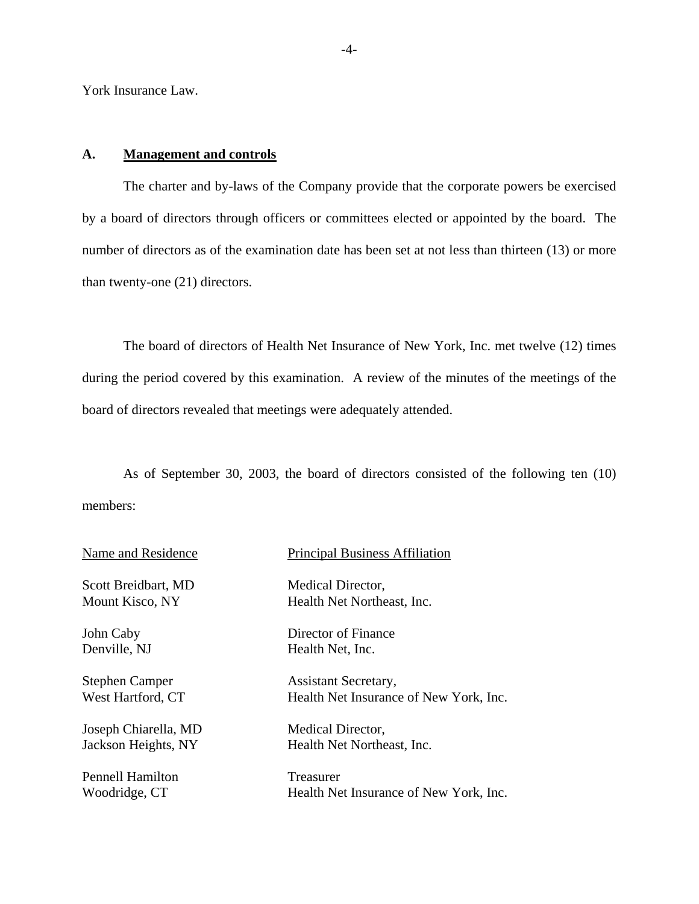York Insurance Law.

#### **A. Management and controls**

The charter and by-laws of the Company provide that the corporate powers be exercised by a board of directors through officers or committees elected or appointed by the board. The number of directors as of the examination date has been set at not less than thirteen (13) or more than twenty-one (21) directors.

The board of directors of Health Net Insurance of New York, Inc. met twelve (12) times during the period covered by this examination. A review of the minutes of the meetings of the board of directors revealed that meetings were adequately attended.

As of September 30, 2003, the board of directors consisted of the following ten (10) members:

| Name and Residence      | <b>Principal Business Affiliation</b>  |
|-------------------------|----------------------------------------|
| Scott Breidbart, MD     | Medical Director,                      |
| Mount Kisco, NY         | Health Net Northeast, Inc.             |
| John Caby               | Director of Finance                    |
| Denville, NJ            | Health Net, Inc.                       |
| <b>Stephen Camper</b>   | Assistant Secretary,                   |
| West Hartford, CT       | Health Net Insurance of New York, Inc. |
| Joseph Chiarella, MD    | Medical Director,                      |
| Jackson Heights, NY     | Health Net Northeast, Inc.             |
| <b>Pennell Hamilton</b> | Treasurer                              |
| Woodridge, CT           | Health Net Insurance of New York, Inc. |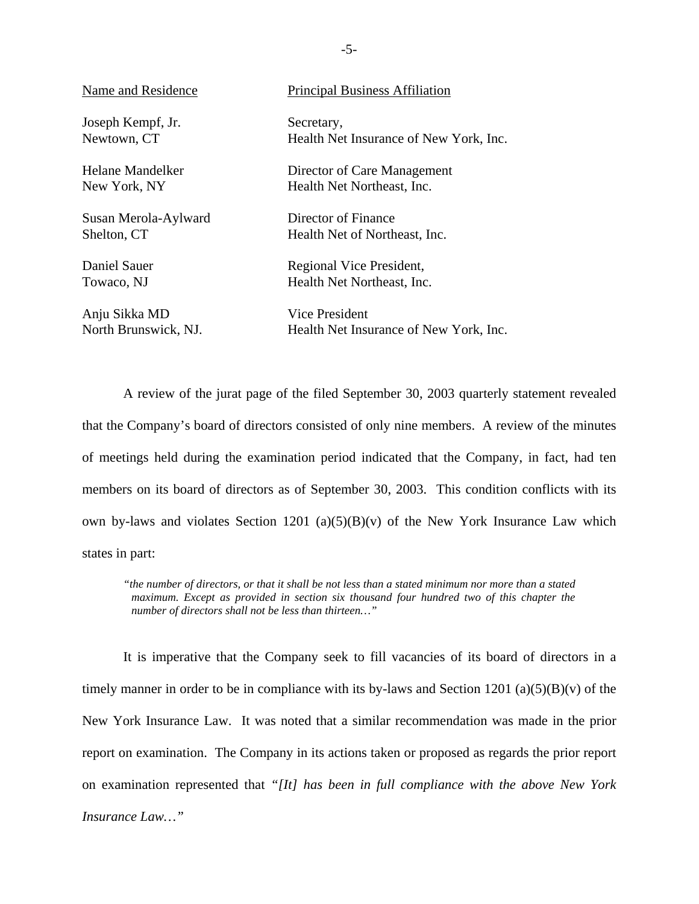| Name and Residence   | <b>Principal Business Affiliation</b>  |
|----------------------|----------------------------------------|
| Joseph Kempf, Jr.    | Secretary,                             |
| Newtown, CT          | Health Net Insurance of New York, Inc. |
| Helane Mandelker     | Director of Care Management            |
| New York, NY         | Health Net Northeast, Inc.             |
| Susan Merola-Aylward | Director of Finance                    |
| Shelton, CT          | Health Net of Northeast, Inc.          |
| Daniel Sauer         | Regional Vice President,               |
| Towaco, NJ           | Health Net Northeast, Inc.             |
| Anju Sikka MD        | Vice President                         |
| North Brunswick, NJ. | Health Net Insurance of New York, Inc. |

A review of the jurat page of the filed September 30, 2003 quarterly statement revealed that the Company's board of directors consisted of only nine members. A review of the minutes of meetings held during the examination period indicated that the Company, in fact, had ten members on its board of directors as of September 30, 2003. This condition conflicts with its own by-laws and violates Section 1201 (a) $(5)(B)(v)$  of the New York Insurance Law which states in part:

 *"the number of directors, or that it shall be not less than a stated minimum nor more than a stated maximum. Except as provided in section six thousand four hundred two of this chapter the number of directors shall not be less than thirteen…"* 

It is imperative that the Company seek to fill vacancies of its board of directors in a timely manner in order to be in compliance with its by-laws and Section 1201 (a)(5)(B)(v) of the New York Insurance Law. It was noted that a similar recommendation was made in the prior report on examination. The Company in its actions taken or proposed as regards the prior report on examination represented that *"[It] has been in full compliance with the above New York Insurance Law…"* 

-5-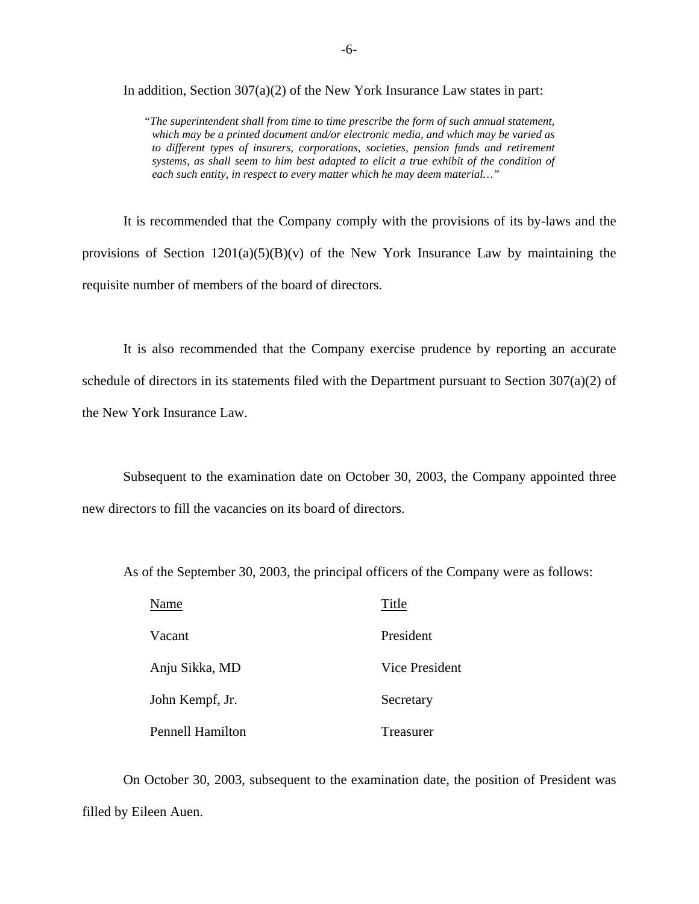In addition, Section  $307(a)(2)$  of the New York Insurance Law states in part:

 *"The superintendent shall from time to time prescribe the form of such annual statement, which may be a printed document and/or electronic media, and which may be varied as to different types of insurers, corporations, societies, pension funds and retirement systems, as shall seem to him best adapted to elicit a true exhibit of the condition of each such entity, in respect to every matter which he may deem material…"* 

It is recommended that the Company comply with the provisions of its by-laws and the provisions of Section  $1201(a)(5)(B)(v)$  of the New York Insurance Law by maintaining the requisite number of members of the board of directors.

It is also recommended that the Company exercise prudence by reporting an accurate schedule of directors in its statements filed with the Department pursuant to Section 307(a)(2) of the New York Insurance Law.

Subsequent to the examination date on October 30, 2003, the Company appointed three new directors to fill the vacancies on its board of directors.

As of the September 30, 2003, the principal officers of the Company were as follows:

| Name                    | Title          |
|-------------------------|----------------|
| Vacant                  | President      |
| Anju Sikka, MD          | Vice President |
| John Kempf, Jr.         | Secretary      |
| <b>Pennell Hamilton</b> | Treasurer      |

On October 30, 2003, subsequent to the examination date, the position of President was filled by Eileen Auen.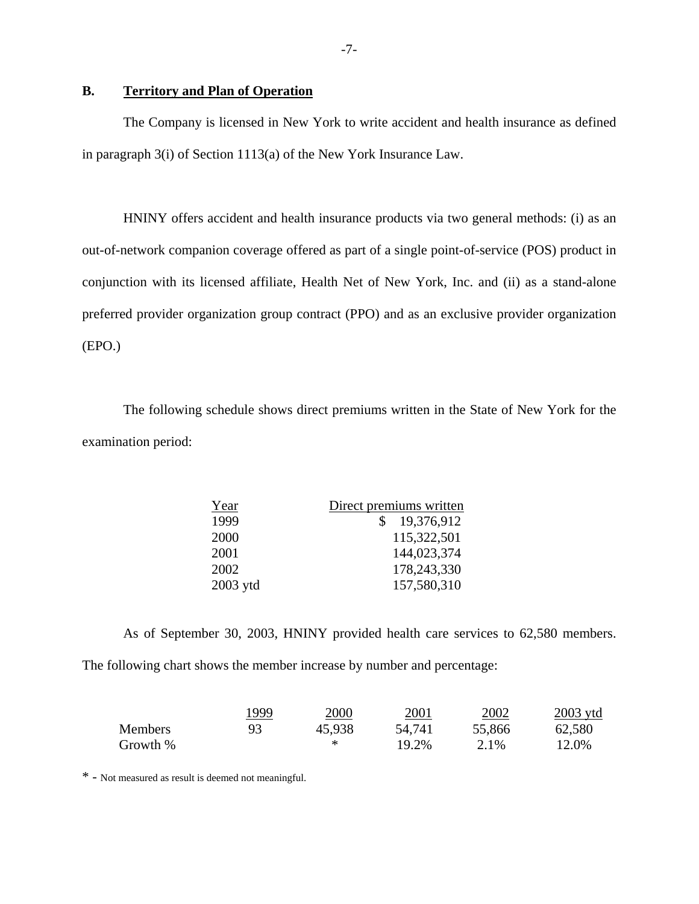## **B. Territory and Plan of Operation**

The Company is licensed in New York to write accident and health insurance as defined in paragraph 3(i) of Section 1113(a) of the New York Insurance Law.

HNINY offers accident and health insurance products via two general methods: (i) as an out-of-network companion coverage offered as part of a single point-of-service (POS) product in conjunction with its licensed affiliate, Health Net of New York, Inc. and (ii) as a stand-alone preferred provider organization group contract (PPO) and as an exclusive provider organization (EPO.)

The following schedule shows direct premiums written in the State of New York for the examination period:

| Year       | Direct premiums written |
|------------|-------------------------|
| 1999       | 19,376,912              |
| 2000       | 115,322,501             |
| 2001       | 144,023,374             |
| 2002       | 178,243,330             |
| $2003$ ytd | 157,580,310             |

As of September 30, 2003, HNINY provided health care services to 62,580 members. The following chart shows the member increase by number and percentage:

|                | 1999 | 2000   | 2001   | 2002   | $2003$ ytd |
|----------------|------|--------|--------|--------|------------|
| <b>Members</b> | 93   | 45,938 | 54,741 | 55,866 | 62,580     |
| Growth %       |      |        | 19.2%  | 2.1%   | 12.0%      |

\* - Not measured as result is deemed not meaningful.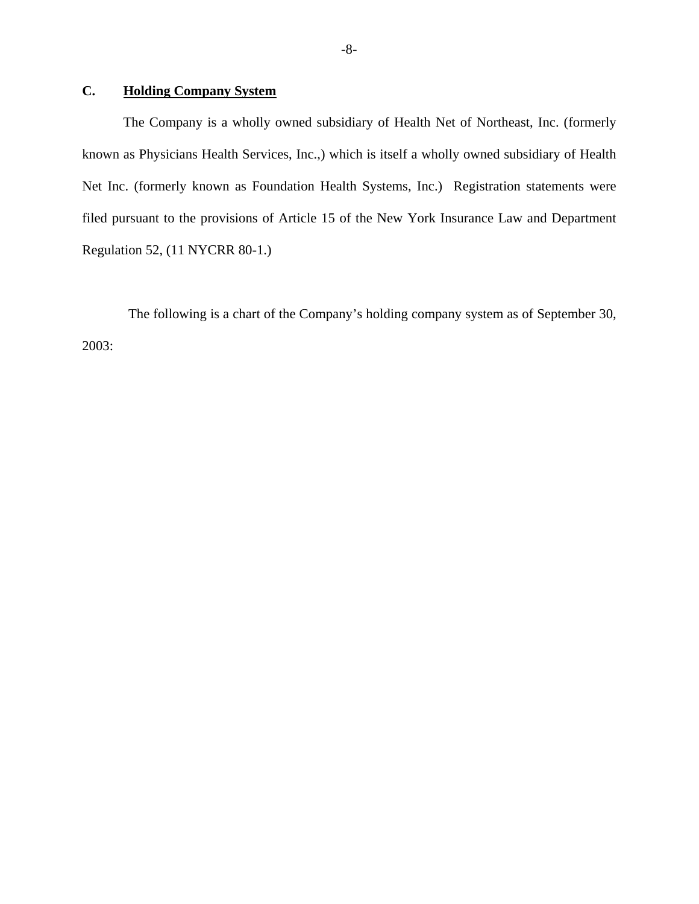# **C. Holding Company System**

The Company is a wholly owned subsidiary of Health Net of Northeast, Inc. (formerly known as Physicians Health Services, Inc.,) which is itself a wholly owned subsidiary of Health Net Inc. (formerly known as Foundation Health Systems, Inc.) Registration statements were filed pursuant to the provisions of Article 15 of the New York Insurance Law and Department Regulation 52, (11 NYCRR 80-1.)

The following is a chart of the Company's holding company system as of September 30, 2003: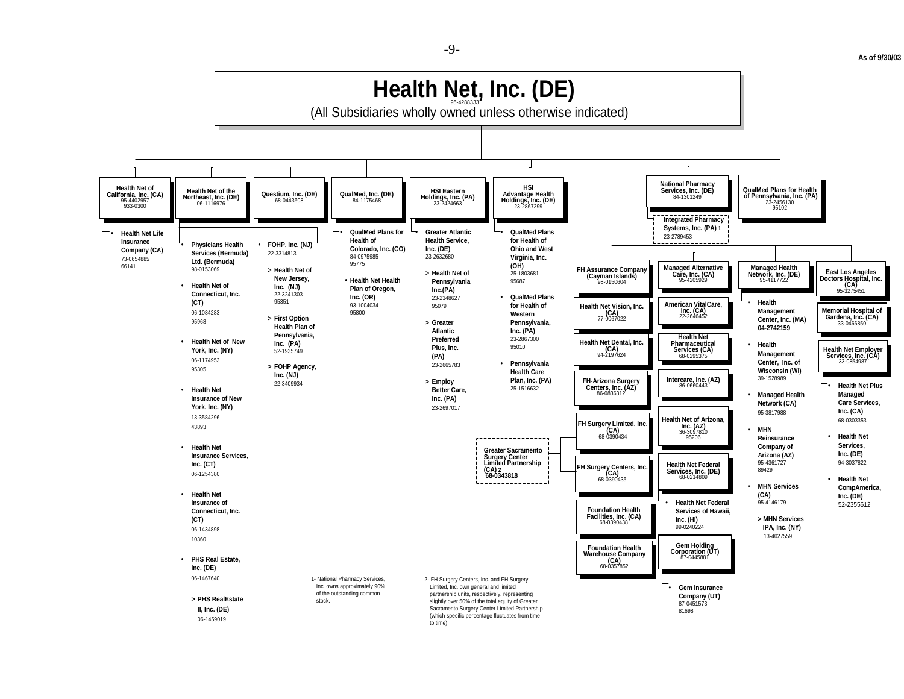**As of 9/30/03** 



-9-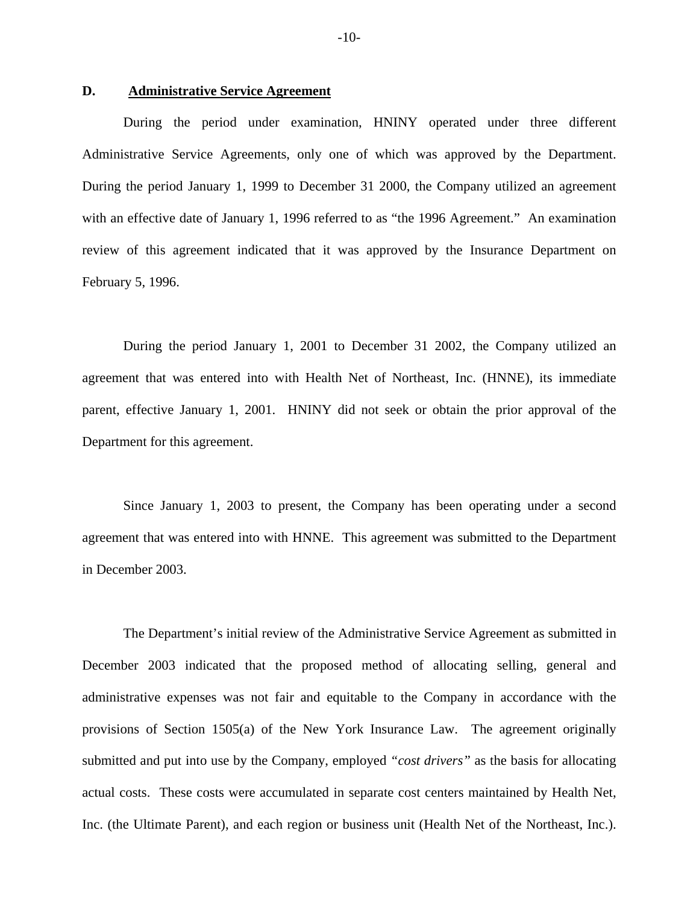#### **D. Administrative Service Agreement**

During the period under examination, HNINY operated under three different Administrative Service Agreements, only one of which was approved by the Department. During the period January 1, 1999 to December 31 2000, the Company utilized an agreement with an effective date of January 1, 1996 referred to as "the 1996 Agreement." An examination review of this agreement indicated that it was approved by the Insurance Department on February 5, 1996.

During the period January 1, 2001 to December 31 2002, the Company utilized an agreement that was entered into with Health Net of Northeast, Inc. (HNNE), its immediate parent, effective January 1, 2001. HNINY did not seek or obtain the prior approval of the Department for this agreement.

Since January 1, 2003 to present, the Company has been operating under a second agreement that was entered into with HNNE. This agreement was submitted to the Department in December 2003.

The Department's initial review of the Administrative Service Agreement as submitted in December 2003 indicated that the proposed method of allocating selling, general and administrative expenses was not fair and equitable to the Company in accordance with the provisions of Section 1505(a) of the New York Insurance Law. The agreement originally submitted and put into use by the Company, employed *"cost drivers"* as the basis for allocating actual costs. These costs were accumulated in separate cost centers maintained by Health Net, Inc. (the Ultimate Parent), and each region or business unit (Health Net of the Northeast, Inc.).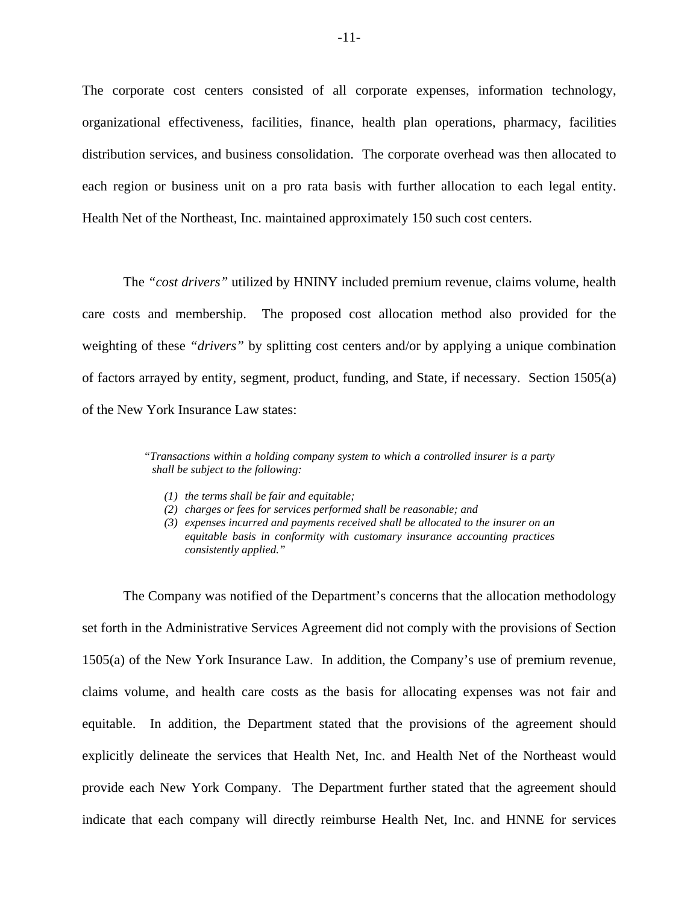The corporate cost centers consisted of all corporate expenses, information technology, organizational effectiveness, facilities, finance, health plan operations, pharmacy, facilities distribution services, and business consolidation. The corporate overhead was then allocated to each region or business unit on a pro rata basis with further allocation to each legal entity. Health Net of the Northeast, Inc. maintained approximately 150 such cost centers.

The *"cost drivers"* utilized by HNINY included premium revenue, claims volume, health care costs and membership. The proposed cost allocation method also provided for the weighting of these *"drivers"* by splitting cost centers and/or by applying a unique combination of factors arrayed by entity, segment, product, funding, and State, if necessary. Section 1505(a) of the New York Insurance Law states:

> *"Transactions within a holding company system to which a controlled insurer is a party shall be subject to the following:*

- *(1) the terms shall be fair and equitable;*
- *(2) charges or fees for services performed shall be reasonable; and*
- *(3) expenses incurred and payments received shall be allocated to the insurer on an equitable basis in conformity with customary insurance accounting practices consistently applied."*

The Company was notified of the Department's concerns that the allocation methodology set forth in the Administrative Services Agreement did not comply with the provisions of Section 1505(a) of the New York Insurance Law. In addition, the Company's use of premium revenue, claims volume, and health care costs as the basis for allocating expenses was not fair and equitable. In addition, the Department stated that the provisions of the agreement should explicitly delineate the services that Health Net, Inc. and Health Net of the Northeast would provide each New York Company. The Department further stated that the agreement should indicate that each company will directly reimburse Health Net, Inc. and HNNE for services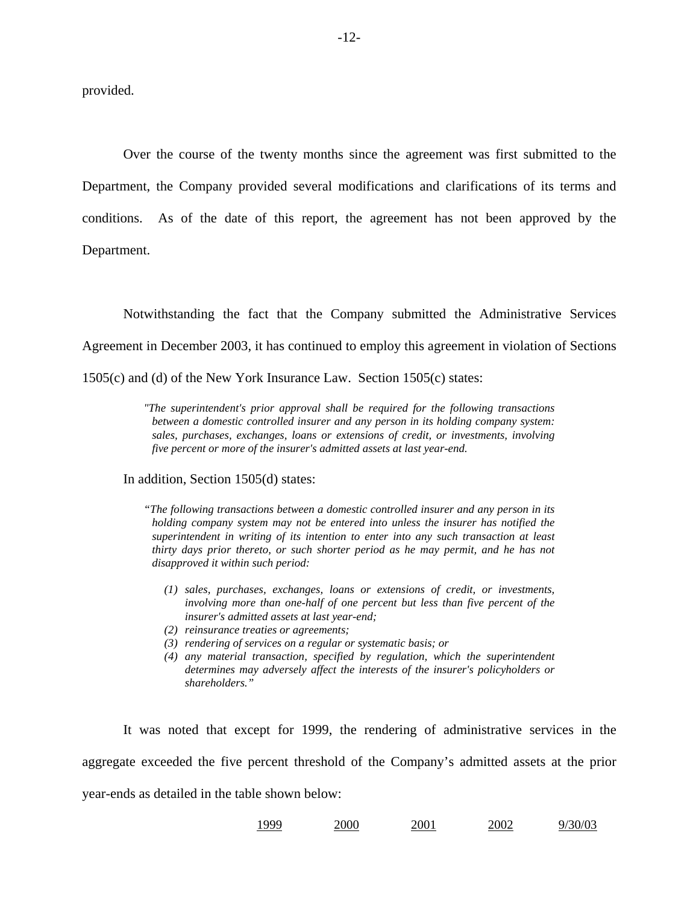provided.

Over the course of the twenty months since the agreement was first submitted to the Department, the Company provided several modifications and clarifications of its terms and conditions. As of the date of this report, the agreement has not been approved by the Department.

Notwithstanding the fact that the Company submitted the Administrative Services

Agreement in December 2003, it has continued to employ this agreement in violation of Sections

1505(c) and (d) of the New York Insurance Law. Section 1505(c) states:

 *between a domestic controlled insurer and any person in its holding company system: "The superintendent's prior approval shall be required for the following transactions sales, purchases, exchanges, loans or extensions of credit, or investments, involving five percent or more of the insurer's admitted assets at last year-end.* 

In addition, Section 1505(d) states:

 *superintendent in writing of its intention to enter into any such transaction at least "The following transactions between a domestic controlled insurer and any person in its holding company system may not be entered into unless the insurer has notified the thirty days prior thereto, or such shorter period as he may permit, and he has not disapproved it within such period:* 

- *(1) sales, purchases, exchanges, loans or extensions of credit, or investments, involving more than one-half of one percent but less than five percent of the insurer's admitted assets at last year-end;*
- *(2) reinsurance treaties or agreements;*
- *(3) rendering of services on a regular or systematic basis; or*
- *(4) any material transaction, specified by regulation, which the superintendent determines may adversely affect the interests of the insurer's policyholders or shareholders."*

It was noted that except for 1999, the rendering of administrative services in the aggregate exceeded the five percent threshold of the Company's admitted assets at the prior year-ends as detailed in the table shown below:

| 1999 | 2000 | 2001 | 2002 | 9/30/03 |
|------|------|------|------|---------|
|      |      |      |      |         |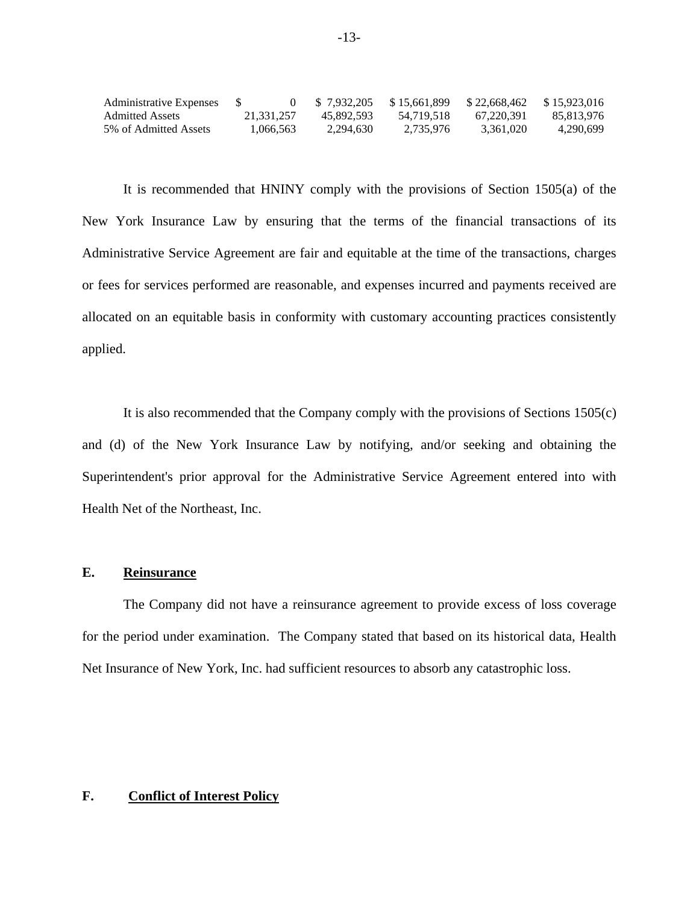| Administrative Expenses |            | \$7.932.205 | \$15.661.899 | \$22,668,462 | \$15.923.016 |
|-------------------------|------------|-------------|--------------|--------------|--------------|
| Admitted Assets         | 21.331.257 | 45.892.593  | 54.719.518   | 67.220.391   | 85.813.976   |
| 5% of Admitted Assets   | 1.066.563  | 2.294.630   | 2.735.976    | 3.361.020    | 4.290.699    |

It is recommended that HNINY comply with the provisions of Section 1505(a) of the New York Insurance Law by ensuring that the terms of the financial transactions of its Administrative Service Agreement are fair and equitable at the time of the transactions, charges or fees for services performed are reasonable, and expenses incurred and payments received are allocated on an equitable basis in conformity with customary accounting practices consistently applied.

It is also recommended that the Company comply with the provisions of Sections 1505(c) and (d) of the New York Insurance Law by notifying, and/or seeking and obtaining the Superintendent's prior approval for the Administrative Service Agreement entered into with Health Net of the Northeast, Inc.

## **E. Reinsurance**

The Company did not have a reinsurance agreement to provide excess of loss coverage for the period under examination. The Company stated that based on its historical data, Health Net Insurance of New York, Inc. had sufficient resources to absorb any catastrophic loss.

### **F. Conflict of Interest Policy**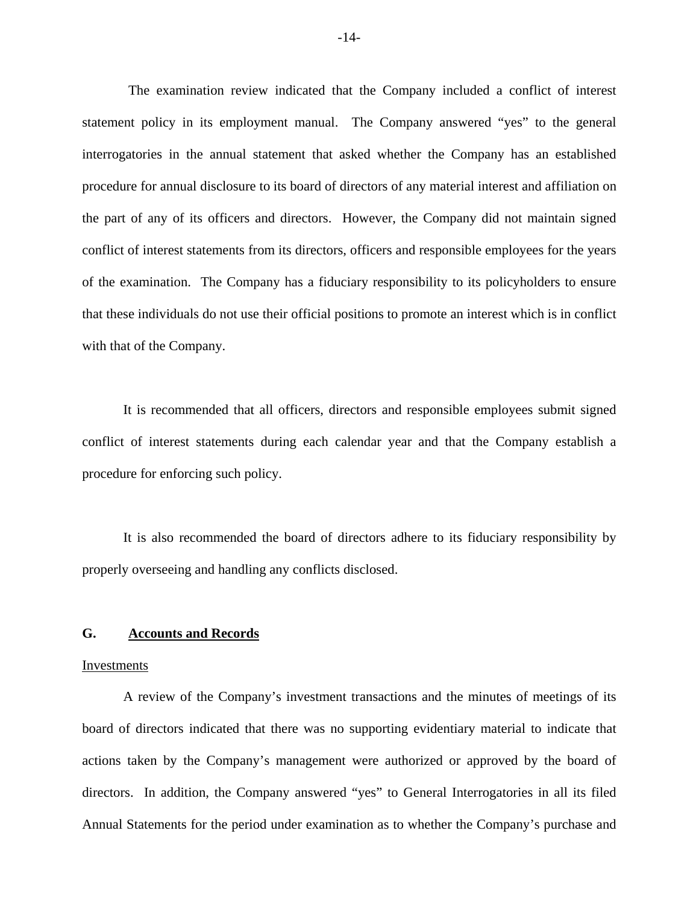The examination review indicated that the Company included a conflict of interest statement policy in its employment manual. The Company answered "yes" to the general interrogatories in the annual statement that asked whether the Company has an established procedure for annual disclosure to its board of directors of any material interest and affiliation on the part of any of its officers and directors. However, the Company did not maintain signed conflict of interest statements from its directors, officers and responsible employees for the years of the examination. The Company has a fiduciary responsibility to its policyholders to ensure that these individuals do not use their official positions to promote an interest which is in conflict with that of the Company.

It is recommended that all officers, directors and responsible employees submit signed conflict of interest statements during each calendar year and that the Company establish a procedure for enforcing such policy.

It is also recommended the board of directors adhere to its fiduciary responsibility by properly overseeing and handling any conflicts disclosed.

#### **G. Accounts and Records**

#### Investments

A review of the Company's investment transactions and the minutes of meetings of its board of directors indicated that there was no supporting evidentiary material to indicate that actions taken by the Company's management were authorized or approved by the board of directors. In addition, the Company answered "yes" to General Interrogatories in all its filed Annual Statements for the period under examination as to whether the Company's purchase and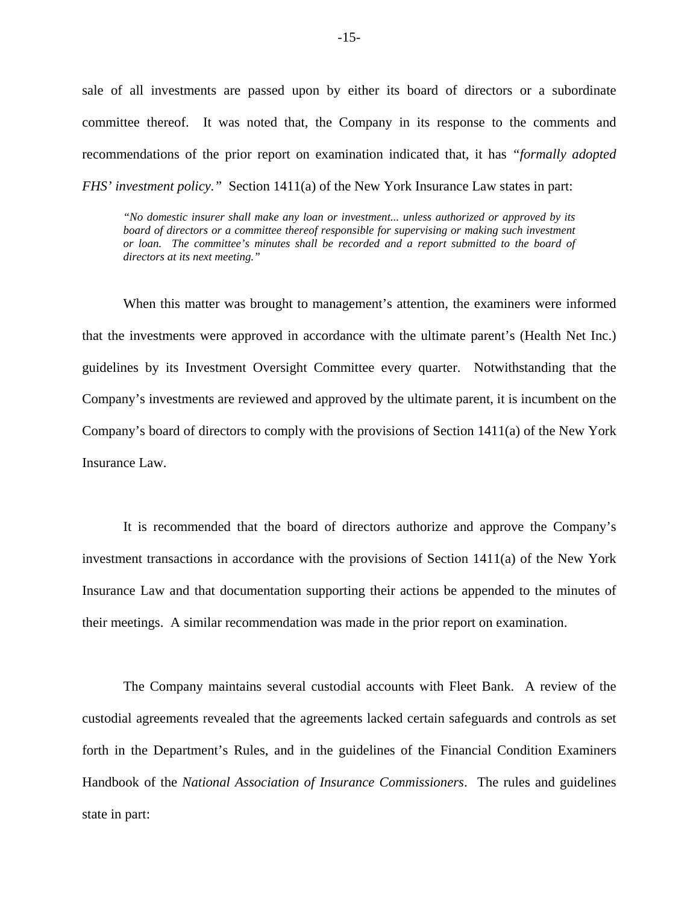sale of all investments are passed upon by either its board of directors or a subordinate committee thereof. It was noted that, the Company in its response to the comments and recommendations of the prior report on examination indicated that, it has *"formally adopted FHS' investment policy.*" Section 1411(a) of the New York Insurance Law states in part:

*"No domestic insurer shall make any loan or investment... unless authorized or approved by its*  board of directors or a committee thereof responsible for supervising or making such investment *or loan. The committee's minutes shall be recorded and a report submitted to the board of directors at its next meeting."* 

When this matter was brought to management's attention, the examiners were informed that the investments were approved in accordance with the ultimate parent's (Health Net Inc.) guidelines by its Investment Oversight Committee every quarter. Notwithstanding that the Company's investments are reviewed and approved by the ultimate parent, it is incumbent on the Company's board of directors to comply with the provisions of Section 1411(a) of the New York Insurance Law.

It is recommended that the board of directors authorize and approve the Company's investment transactions in accordance with the provisions of Section 1411(a) of the New York Insurance Law and that documentation supporting their actions be appended to the minutes of their meetings. A similar recommendation was made in the prior report on examination.

The Company maintains several custodial accounts with Fleet Bank. A review of the custodial agreements revealed that the agreements lacked certain safeguards and controls as set forth in the Department's Rules, and in the guidelines of the Financial Condition Examiners Handbook of the *National Association of Insurance Commissioners*. The rules and guidelines state in part: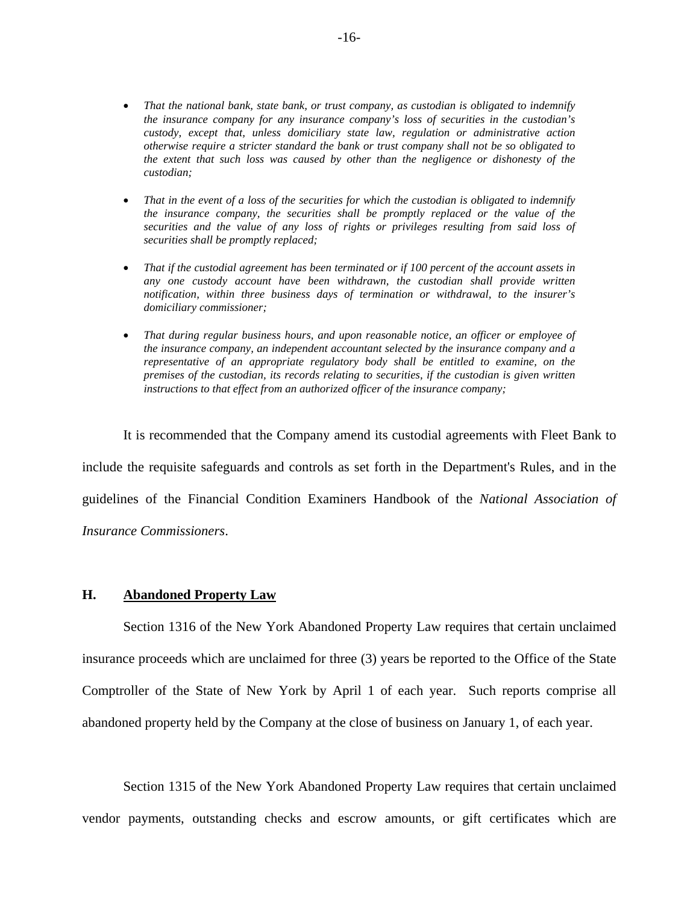- That the national bank, state bank, or trust company, as custodian is obligated to indemnify  *the extent that such loss was caused by other than the negligence or dishonesty of the the insurance company for any insurance company's loss of securities in the custodian's custody, except that, unless domiciliary state law, regulation or administrative action otherwise require a stricter standard the bank or trust company shall not be so obligated to custodian;*
- *That in the event of a loss of the securities for which the custodian is obligated to indemnify the insurance company, the securities shall be promptly replaced or the value of the securities and the value of any loss of rights or privileges resulting from said loss of securities shall be promptly replaced;*
- That if the custodial agreement has been terminated or if 100 percent of the account assets in *any one custody account have been withdrawn, the custodian shall provide written notification, within three business days of termination or withdrawal, to the insurer's domiciliary commissioner;*
- *premises of the custodian, its records relating to securities, if the custodian is given written*  • *That during regular business hours, and upon reasonable notice, an officer or employee of the insurance company, an independent accountant selected by the insurance company and a representative of an appropriate regulatory body shall be entitled to examine, on the instructions to that effect from an authorized officer of the insurance company;*

It is recommended that the Company amend its custodial agreements with Fleet Bank to include the requisite safeguards and controls as set forth in the Department's Rules, and in the guidelines of the Financial Condition Examiners Handbook of the *National Association of Insurance Commissioners*.

#### **H. Abandoned Property Law**

Section 1316 of the New York Abandoned Property Law requires that certain unclaimed insurance proceeds which are unclaimed for three (3) years be reported to the Office of the State Comptroller of the State of New York by April 1 of each year. Such reports comprise all abandoned property held by the Company at the close of business on January 1, of each year.

Section 1315 of the New York Abandoned Property Law requires that certain unclaimed vendor payments, outstanding checks and escrow amounts, or gift certificates which are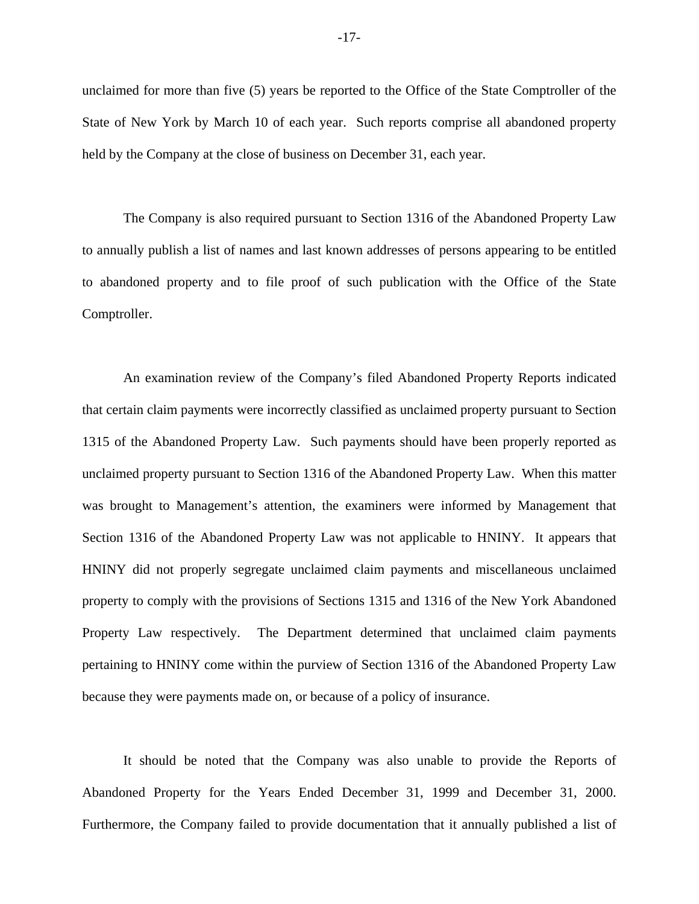unclaimed for more than five (5) years be reported to the Office of the State Comptroller of the State of New York by March 10 of each year. Such reports comprise all abandoned property held by the Company at the close of business on December 31, each year.

The Company is also required pursuant to Section 1316 of the Abandoned Property Law to annually publish a list of names and last known addresses of persons appearing to be entitled to abandoned property and to file proof of such publication with the Office of the State Comptroller.

An examination review of the Company's filed Abandoned Property Reports indicated that certain claim payments were incorrectly classified as unclaimed property pursuant to Section 1315 of the Abandoned Property Law. Such payments should have been properly reported as unclaimed property pursuant to Section 1316 of the Abandoned Property Law. When this matter was brought to Management's attention, the examiners were informed by Management that Section 1316 of the Abandoned Property Law was not applicable to HNINY. It appears that HNINY did not properly segregate unclaimed claim payments and miscellaneous unclaimed property to comply with the provisions of Sections 1315 and 1316 of the New York Abandoned Property Law respectively. The Department determined that unclaimed claim payments pertaining to HNINY come within the purview of Section 1316 of the Abandoned Property Law because they were payments made on, or because of a policy of insurance.

It should be noted that the Company was also unable to provide the Reports of Abandoned Property for the Years Ended December 31, 1999 and December 31, 2000. Furthermore, the Company failed to provide documentation that it annually published a list of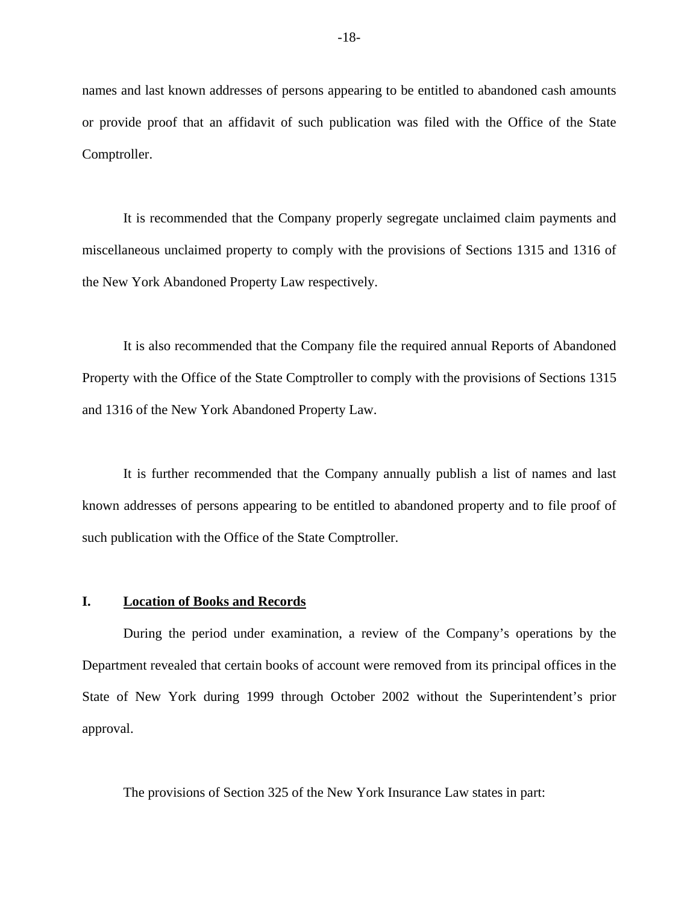names and last known addresses of persons appearing to be entitled to abandoned cash amounts or provide proof that an affidavit of such publication was filed with the Office of the State Comptroller.

It is recommended that the Company properly segregate unclaimed claim payments and miscellaneous unclaimed property to comply with the provisions of Sections 1315 and 1316 of the New York Abandoned Property Law respectively.

It is also recommended that the Company file the required annual Reports of Abandoned Property with the Office of the State Comptroller to comply with the provisions of Sections 1315 and 1316 of the New York Abandoned Property Law.

It is further recommended that the Company annually publish a list of names and last known addresses of persons appearing to be entitled to abandoned property and to file proof of such publication with the Office of the State Comptroller.

#### **I. Location of Books and Records**

During the period under examination, a review of the Company's operations by the Department revealed that certain books of account were removed from its principal offices in the State of New York during 1999 through October 2002 without the Superintendent's prior approval.

The provisions of Section 325 of the New York Insurance Law states in part: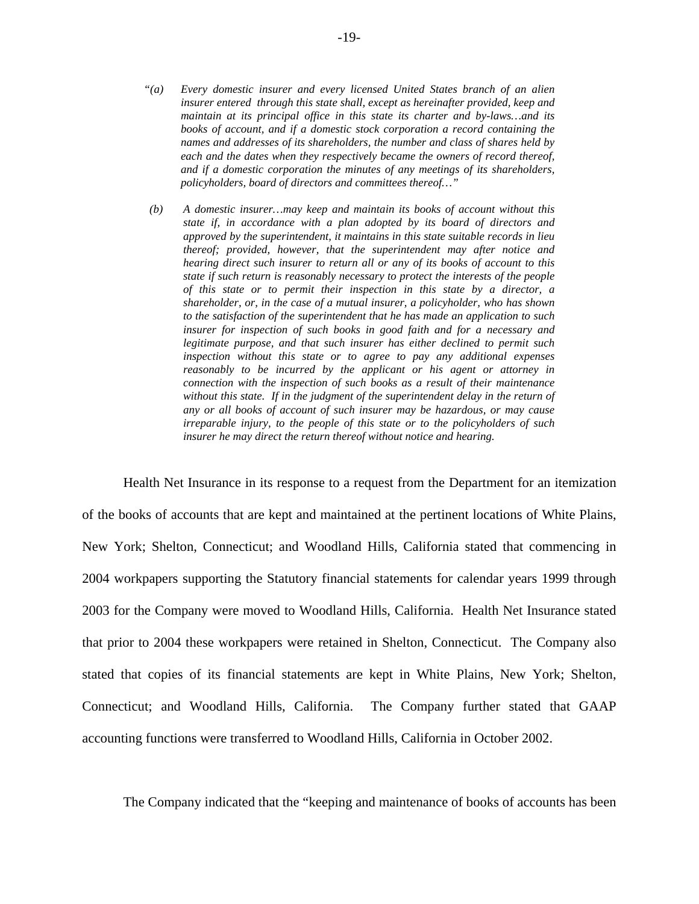- *"(a) Every domestic insurer and every licensed United States branch of an alien insurer entered through this state shall, except as hereinafter provided, keep and maintain at its principal office in this state its charter and by-laws…and its books of account, and if a domestic stock corporation a record containing the names and addresses of its shareholders, the number and class of shares held by each and the dates when they respectively became the owners of record thereof, and if a domestic corporation the minutes of any meetings of its shareholders, policyholders, board of directors and committees thereof…"*
- without this state. If in the judgment of the superintendent delay in the return of *(b) A domestic insurer…may keep and maintain its books of account without this state if, in accordance with a plan adopted by its board of directors and approved by the superintendent, it maintains in this state suitable records in lieu thereof; provided, however, that the superintendent may after notice and hearing direct such insurer to return all or any of its books of account to this state if such return is reasonably necessary to protect the interests of the people of this state or to permit their inspection in this state by a director, a shareholder, or, in the case of a mutual insurer, a policyholder, who has shown to the satisfaction of the superintendent that he has made an application to such insurer for inspection of such books in good faith and for a necessary and legitimate purpose, and that such insurer has either declined to permit such inspection without this state or to agree to pay any additional expenses reasonably to be incurred by the applicant or his agent or attorney in connection with the inspection of such books as a result of their maintenance any or all books of account of such insurer may be hazardous, or may cause irreparable injury, to the people of this state or to the policyholders of such insurer he may direct the return thereof without notice and hearing.*

Health Net Insurance in its response to a request from the Department for an itemization of the books of accounts that are kept and maintained at the pertinent locations of White Plains, New York; Shelton, Connecticut; and Woodland Hills, California stated that commencing in 2004 workpapers supporting the Statutory financial statements for calendar years 1999 through 2003 for the Company were moved to Woodland Hills, California. Health Net Insurance stated that prior to 2004 these workpapers were retained in Shelton, Connecticut. The Company also stated that copies of its financial statements are kept in White Plains, New York; Shelton, Connecticut; and Woodland Hills, California. The Company further stated that GAAP accounting functions were transferred to Woodland Hills, California in October 2002.

The Company indicated that the "keeping and maintenance of books of accounts has been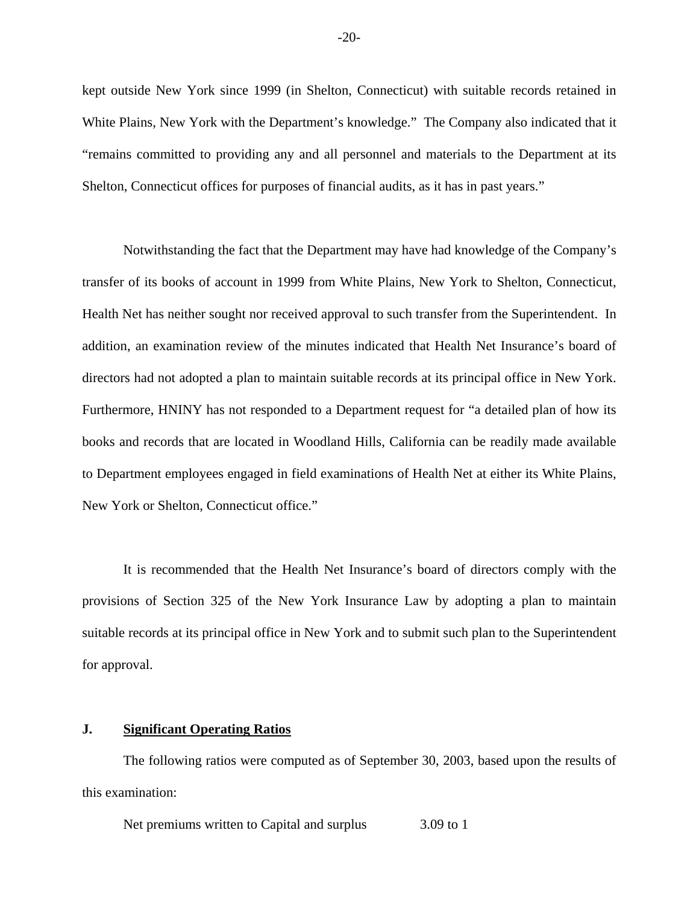kept outside New York since 1999 (in Shelton, Connecticut) with suitable records retained in White Plains, New York with the Department's knowledge." The Company also indicated that it "remains committed to providing any and all personnel and materials to the Department at its Shelton, Connecticut offices for purposes of financial audits, as it has in past years."

Notwithstanding the fact that the Department may have had knowledge of the Company's transfer of its books of account in 1999 from White Plains, New York to Shelton, Connecticut, Health Net has neither sought nor received approval to such transfer from the Superintendent. In addition, an examination review of the minutes indicated that Health Net Insurance's board of directors had not adopted a plan to maintain suitable records at its principal office in New York. Furthermore, HNINY has not responded to a Department request for "a detailed plan of how its books and records that are located in Woodland Hills, California can be readily made available to Department employees engaged in field examinations of Health Net at either its White Plains, New York or Shelton, Connecticut office."

It is recommended that the Health Net Insurance's board of directors comply with the provisions of Section 325 of the New York Insurance Law by adopting a plan to maintain suitable records at its principal office in New York and to submit such plan to the Superintendent for approval.

## **J. Significant Operating Ratios**

The following ratios were computed as of September 30, 2003, based upon the results of this examination:

Net premiums written to Capital and surplus 3.09 to 1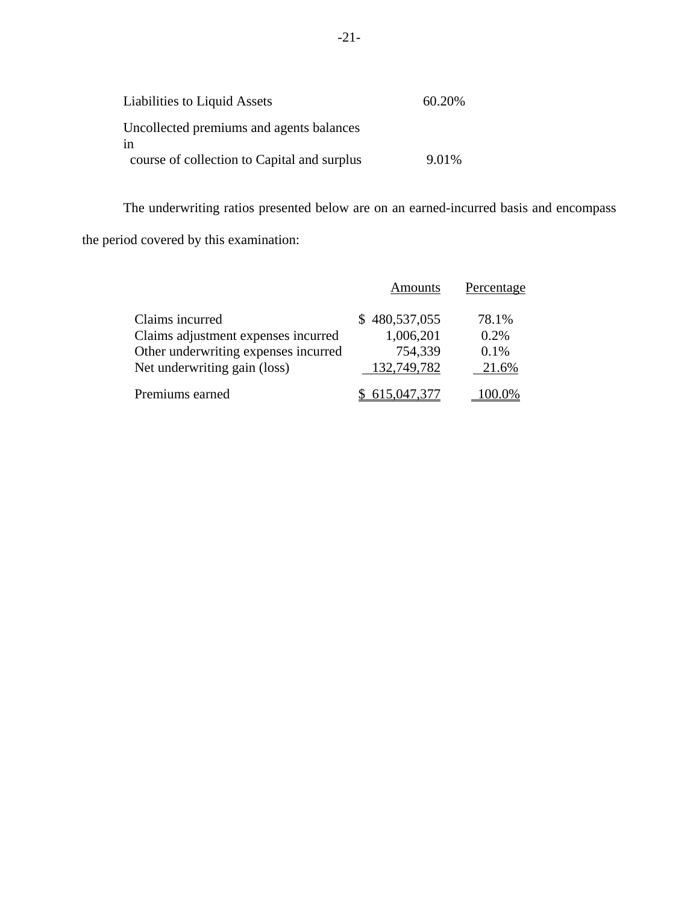| Liabilities to Liquid Assets                   | 60.20% |
|------------------------------------------------|--------|
| Uncollected premiums and agents balances<br>1n |        |
| course of collection to Capital and surplus    | 9.01%  |

The underwriting ratios presented below are on an earned-incurred basis and encompass

the period covered by this examination:

|                                      | <b>Amounts</b> | Percentage |
|--------------------------------------|----------------|------------|
| Claims incurred                      | \$480,537,055  | 78.1%      |
| Claims adjustment expenses incurred  | 1,006,201      | 0.2%       |
| Other underwriting expenses incurred | 754,339        | 0.1%       |
| Net underwriting gain (loss)         | 132,749,782    | 21.6%      |
| Premiums earned                      | 615.047.377    |            |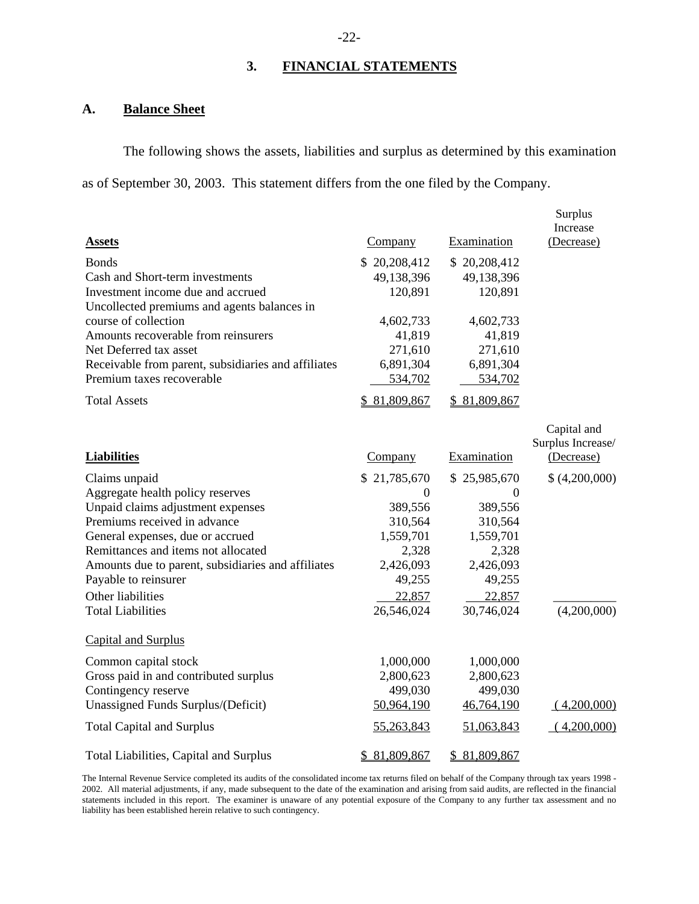# **3. FINANCIAL STATEMENTS**

## **A. Balance Sheet**

The following shows the assets, liabilities and surplus as determined by this examination as of September 30, 2003. This statement differs from the one filed by the Company.

|                                                                                                                                                                                                                                                                                                                                  |                                                                                                           |                                                                                                           | Surplus<br>Increase                            |
|----------------------------------------------------------------------------------------------------------------------------------------------------------------------------------------------------------------------------------------------------------------------------------------------------------------------------------|-----------------------------------------------------------------------------------------------------------|-----------------------------------------------------------------------------------------------------------|------------------------------------------------|
| <b>Assets</b>                                                                                                                                                                                                                                                                                                                    | Company                                                                                                   | Examination                                                                                               | (Decrease)                                     |
| <b>Bonds</b><br>Cash and Short-term investments<br>Investment income due and accrued<br>Uncollected premiums and agents balances in                                                                                                                                                                                              | \$20,208,412<br>49,138,396<br>120,891                                                                     | \$20,208,412<br>49,138,396<br>120,891                                                                     |                                                |
| course of collection<br>Amounts recoverable from reinsurers<br>Net Deferred tax asset<br>Receivable from parent, subsidiaries and affiliates<br>Premium taxes recoverable                                                                                                                                                        | 4,602,733<br>41,819<br>271,610<br>6,891,304<br>534,702                                                    | 4,602,733<br>41,819<br>271,610<br>6,891,304<br>534,702                                                    |                                                |
| <b>Total Assets</b>                                                                                                                                                                                                                                                                                                              | \$81,809,867                                                                                              | \$81,809,867                                                                                              |                                                |
| <b>Liabilities</b>                                                                                                                                                                                                                                                                                                               | Company                                                                                                   | Examination                                                                                               | Capital and<br>Surplus Increase/<br>(Decrease) |
|                                                                                                                                                                                                                                                                                                                                  | \$21,785,670                                                                                              | \$25,985,670                                                                                              | \$(4,200,000)                                  |
| Claims unpaid<br>Aggregate health policy reserves<br>Unpaid claims adjustment expenses<br>Premiums received in advance<br>General expenses, due or accrued<br>Remittances and items not allocated<br>Amounts due to parent, subsidiaries and affiliates<br>Payable to reinsurer<br>Other liabilities<br><b>Total Liabilities</b> | $\overline{0}$<br>389,556<br>310,564<br>1,559,701<br>2,328<br>2,426,093<br>49,255<br>22,857<br>26,546,024 | $\overline{0}$<br>389,556<br>310,564<br>1,559,701<br>2,328<br>2,426,093<br>49,255<br>22,857<br>30,746,024 | (4,200,000)                                    |
| Capital and Surplus                                                                                                                                                                                                                                                                                                              |                                                                                                           |                                                                                                           |                                                |
| Common capital stock<br>Gross paid in and contributed surplus<br>Contingency reserve<br>Unassigned Funds Surplus/(Deficit)                                                                                                                                                                                                       | 1,000,000<br>2,800,623<br>499,030<br>50,964,190                                                           | 1,000,000<br>2,800,623<br>499,030<br>46,764,190                                                           | (4,200,000)                                    |
| <b>Total Capital and Surplus</b>                                                                                                                                                                                                                                                                                                 | 55,263,843                                                                                                | 51,063,843                                                                                                | (4,200,000)                                    |
| Total Liabilities, Capital and Surplus                                                                                                                                                                                                                                                                                           | \$81,809,867                                                                                              | \$81,809,867                                                                                              |                                                |

 statements included in this report. The examiner is unaware of any potential exposure of the Company to any further tax assessment and no The Internal Revenue Service completed its audits of the consolidated income tax returns filed on behalf of the Company through tax years 1998 - 2002. All material adjustments, if any, made subsequent to the date of the examination and arising from said audits, are reflected in the financial liability has been established herein relative to such contingency.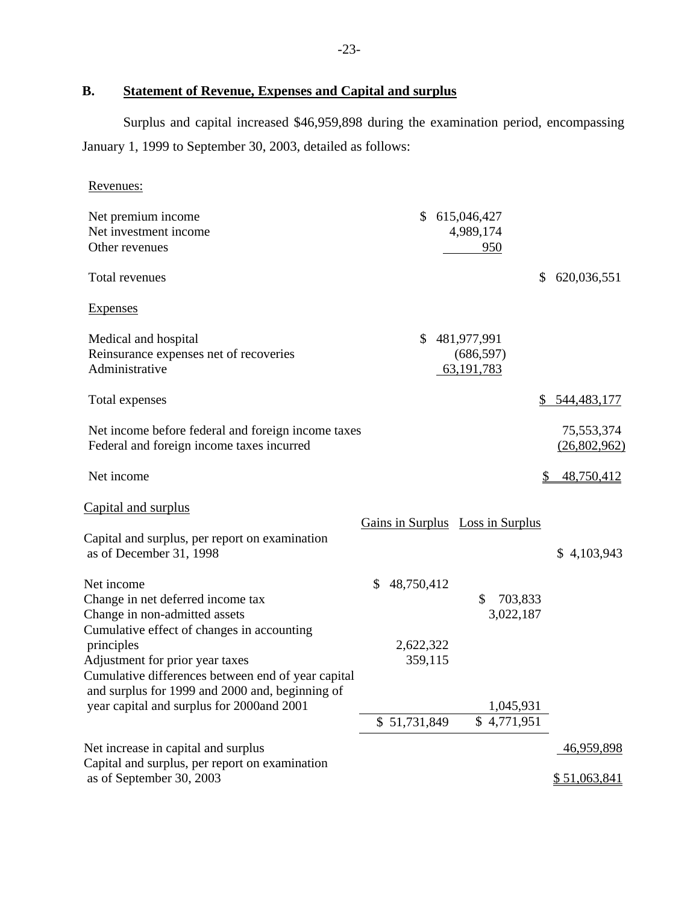# **B. Statement of Revenue, Expenses and Capital and surplus**

Surplus and capital increased \$46,959,898 during the examination period, encompassing January 1, 1999 to September 30, 2003, detailed as follows:

| <u>Revenues:</u>                                                                                      |                  |                                  |           |                   |
|-------------------------------------------------------------------------------------------------------|------------------|----------------------------------|-----------|-------------------|
| Net premium income<br>Net investment income<br>Other revenues                                         | \$               | 615,046,427<br>4,989,174         |           |                   |
|                                                                                                       |                  | 950                              |           |                   |
| Total revenues                                                                                        |                  |                                  | \$        | 620,036,551       |
| <b>Expenses</b>                                                                                       |                  |                                  |           |                   |
| Medical and hospital                                                                                  | \$               | 481,977,991                      |           |                   |
| Reinsurance expenses net of recoveries                                                                |                  | (686, 597)                       |           |                   |
| Administrative                                                                                        |                  | 63, 191, 783                     |           |                   |
| Total expenses                                                                                        |                  |                                  | \$        | 544,483,177       |
| Net income before federal and foreign income taxes                                                    |                  |                                  |           | 75,553,374        |
| Federal and foreign income taxes incurred                                                             |                  |                                  |           | (26,802,962)      |
| Net income                                                                                            |                  |                                  | S         | 48,750,412        |
| Capital and surplus                                                                                   |                  |                                  |           |                   |
|                                                                                                       |                  | Gains in Surplus Loss in Surplus |           |                   |
| Capital and surplus, per report on examination                                                        |                  |                                  |           |                   |
| as of December 31, 1998                                                                               |                  |                                  |           | \$4,103,943       |
| Net income                                                                                            | 48,750,412<br>\$ |                                  |           |                   |
| Change in net deferred income tax                                                                     |                  | \$                               | 703,833   |                   |
| Change in non-admitted assets                                                                         |                  |                                  | 3,022,187 |                   |
| Cumulative effect of changes in accounting                                                            |                  |                                  |           |                   |
| principles                                                                                            | 2,622,322        |                                  |           |                   |
| Adjustment for prior year taxes                                                                       | 359,115          |                                  |           |                   |
| Cumulative differences between end of year capital<br>and surplus for 1999 and 2000 and, beginning of |                  |                                  |           |                   |
| year capital and surplus for 2000and 2001                                                             |                  |                                  | 1,045,931 |                   |
|                                                                                                       | \$51,731,849     | \$4,771,951                      |           |                   |
|                                                                                                       |                  |                                  |           |                   |
| Net increase in capital and surplus<br>Capital and surplus, per report on examination                 |                  |                                  |           | <u>46,959,898</u> |
| as of September 30, 2003                                                                              |                  |                                  |           | \$51,063,841      |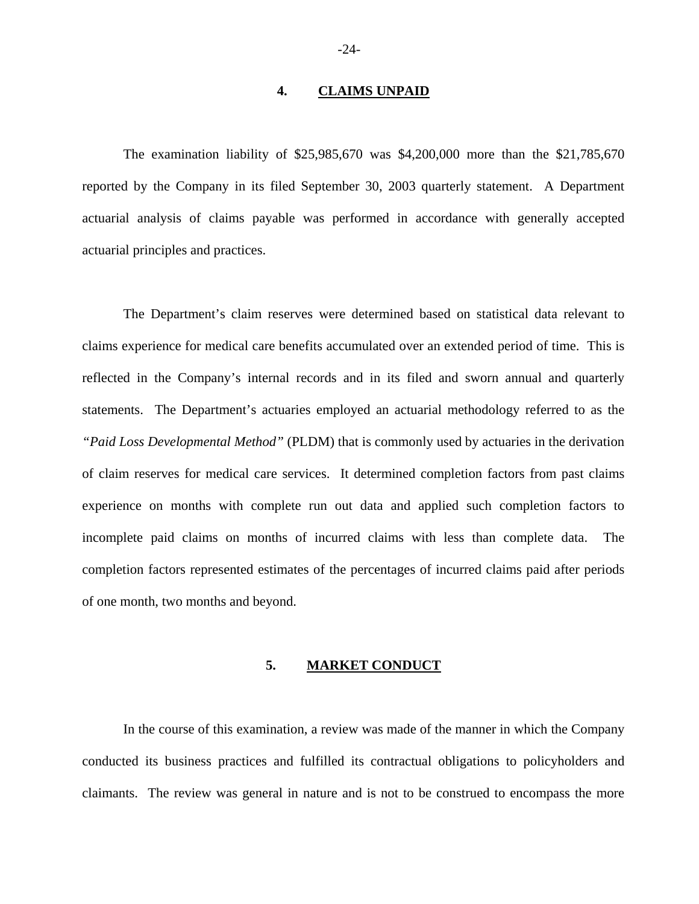#### **4. CLAIMS UNPAID**

The examination liability of \$25,985,670 was \$4,200,000 more than the \$21,785,670 reported by the Company in its filed September 30, 2003 quarterly statement. A Department actuarial analysis of claims payable was performed in accordance with generally accepted actuarial principles and practices.

The Department's claim reserves were determined based on statistical data relevant to claims experience for medical care benefits accumulated over an extended period of time. This is reflected in the Company's internal records and in its filed and sworn annual and quarterly statements. The Department's actuaries employed an actuarial methodology referred to as the *"Paid Loss Developmental Method"* (PLDM) that is commonly used by actuaries in the derivation of claim reserves for medical care services. It determined completion factors from past claims experience on months with complete run out data and applied such completion factors to incomplete paid claims on months of incurred claims with less than complete data. The completion factors represented estimates of the percentages of incurred claims paid after periods of one month, two months and beyond.

### **5. MARKET CONDUCT**

In the course of this examination, a review was made of the manner in which the Company conducted its business practices and fulfilled its contractual obligations to policyholders and claimants. The review was general in nature and is not to be construed to encompass the more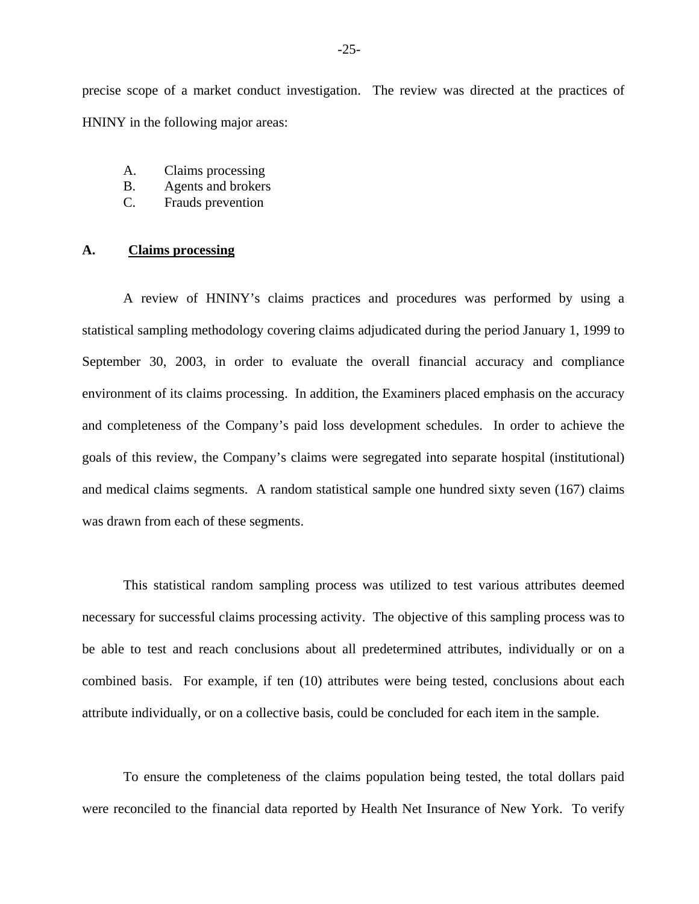precise scope of a market conduct investigation. The review was directed at the practices of HNINY in the following major areas:

- A. Claims processing
- B. Agents and brokers
- C. Frauds prevention

#### **A. Claims processing**

A review of HNINY's claims practices and procedures was performed by using a statistical sampling methodology covering claims adjudicated during the period January 1, 1999 to September 30, 2003, in order to evaluate the overall financial accuracy and compliance environment of its claims processing. In addition, the Examiners placed emphasis on the accuracy and completeness of the Company's paid loss development schedules. In order to achieve the goals of this review, the Company's claims were segregated into separate hospital (institutional) and medical claims segments. A random statistical sample one hundred sixty seven (167) claims was drawn from each of these segments.

This statistical random sampling process was utilized to test various attributes deemed necessary for successful claims processing activity. The objective of this sampling process was to be able to test and reach conclusions about all predetermined attributes, individually or on a combined basis. For example, if ten (10) attributes were being tested, conclusions about each attribute individually, or on a collective basis, could be concluded for each item in the sample.

To ensure the completeness of the claims population being tested, the total dollars paid were reconciled to the financial data reported by Health Net Insurance of New York. To verify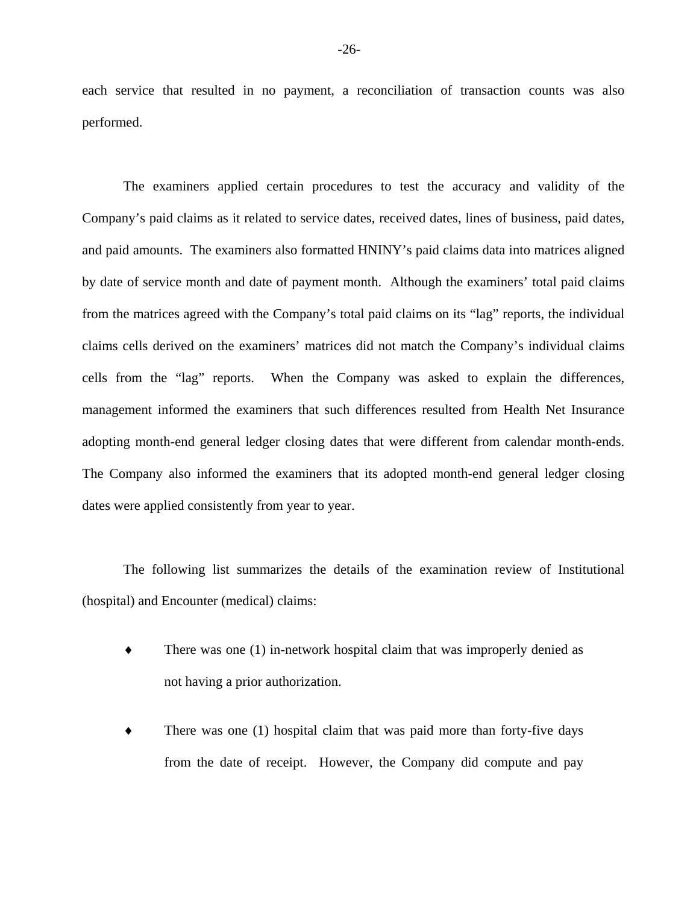each service that resulted in no payment, a reconciliation of transaction counts was also performed.

The examiners applied certain procedures to test the accuracy and validity of the Company's paid claims as it related to service dates, received dates, lines of business, paid dates, and paid amounts. The examiners also formatted HNINY's paid claims data into matrices aligned by date of service month and date of payment month. Although the examiners' total paid claims from the matrices agreed with the Company's total paid claims on its "lag" reports, the individual claims cells derived on the examiners' matrices did not match the Company's individual claims cells from the "lag" reports. When the Company was asked to explain the differences, management informed the examiners that such differences resulted from Health Net Insurance adopting month-end general ledger closing dates that were different from calendar month-ends. The Company also informed the examiners that its adopted month-end general ledger closing dates were applied consistently from year to year.

The following list summarizes the details of the examination review of Institutional (hospital) and Encounter (medical) claims:

- There was one  $(1)$  in-network hospital claim that was improperly denied as not having a prior authorization.
- There was one  $(1)$  hospital claim that was paid more than forty-five days from the date of receipt. However, the Company did compute and pay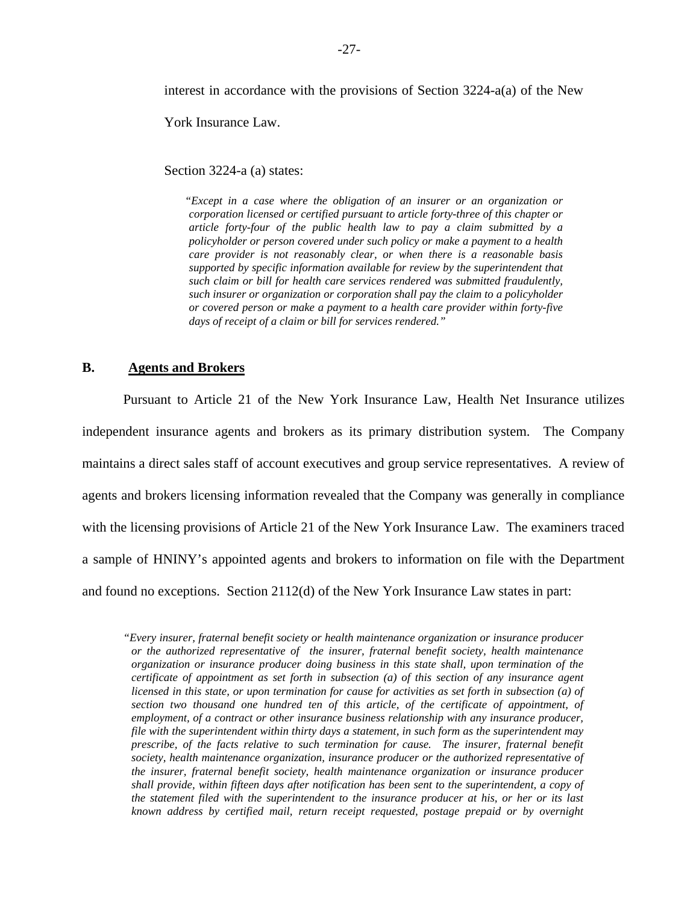interest in accordance with the provisions of Section 3224-a(a) of the New

York Insurance Law.

Section 3224-a (a) states:

 *article forty-four of the public health law to pay a claim submitted by a "Except in a case where the obligation of an insurer or an organization or corporation licensed or certified pursuant to article forty-three of this chapter or policyholder or person covered under such policy or make a payment to a health care provider is not reasonably clear, or when there is a reasonable basis supported by specific information available for review by the superintendent that such claim or bill for health care services rendered was submitted fraudulently, such insurer or organization or corporation shall pay the claim to a policyholder or covered person or make a payment to a health care provider within forty-five days of receipt of a claim or bill for services rendered."* 

### **B. Agents and Brokers**

Pursuant to Article 21 of the New York Insurance Law, Health Net Insurance utilizes independent insurance agents and brokers as its primary distribution system. The Company maintains a direct sales staff of account executives and group service representatives. A review of agents and brokers licensing information revealed that the Company was generally in compliance with the licensing provisions of Article 21 of the New York Insurance Law. The examiners traced a sample of HNINY's appointed agents and brokers to information on file with the Department and found no exceptions. Section 2112(d) of the New York Insurance Law states in part:

 *shall provide, within fifteen days after notification has been sent to the superintendent, a copy of "Every insurer, fraternal benefit society or health maintenance organization or insurance producer or the authorized representative of the insurer, fraternal benefit society, health maintenance organization or insurance producer doing business in this state shall, upon termination of the certificate of appointment as set forth in subsection (a) of this section of any insurance agent licensed in this state, or upon termination for cause for activities as set forth in subsection (a) of section two thousand one hundred ten of this article, of the certificate of appointment, of employment, of a contract or other insurance business relationship with any insurance producer, file with the superintendent within thirty days a statement, in such form as the superintendent may prescribe, of the facts relative to such termination for cause. The insurer, fraternal benefit society, health maintenance organization, insurance producer or the authorized representative of the insurer, fraternal benefit society, health maintenance organization or insurance producer the statement filed with the superintendent to the insurance producer at his, or her or its last known address by certified mail, return receipt requested, postage prepaid or by overnight*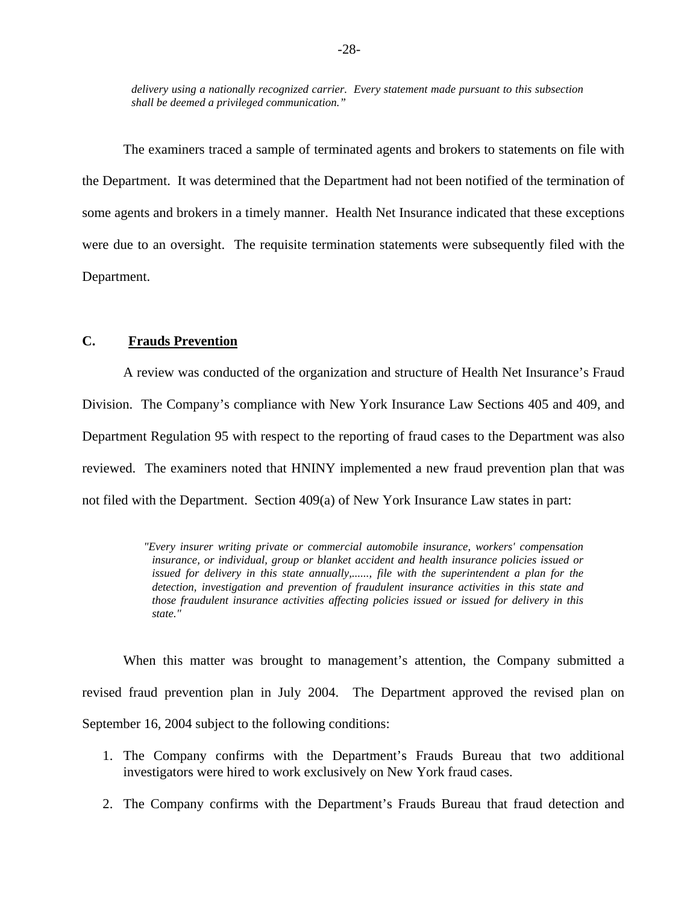*delivery using a nationally recognized carrier. Every statement made pursuant to this subsection shall be deemed a privileged communication."* 

The examiners traced a sample of terminated agents and brokers to statements on file with the Department. It was determined that the Department had not been notified of the termination of some agents and brokers in a timely manner. Health Net Insurance indicated that these exceptions were due to an oversight. The requisite termination statements were subsequently filed with the Department.

### **C. Frauds Prevention**

A review was conducted of the organization and structure of Health Net Insurance's Fraud Division. The Company's compliance with New York Insurance Law Sections 405 and 409, and Department Regulation 95 with respect to the reporting of fraud cases to the Department was also reviewed. The examiners noted that HNINY implemented a new fraud prevention plan that was not filed with the Department. Section 409(a) of New York Insurance Law states in part:

> *"Every insurer writing private or commercial automobile insurance, workers' compensation insurance, or individual, group or blanket accident and health insurance policies issued or issued for delivery in this state annually,......, file with the superintendent a plan for the detection, investigation and prevention of fraudulent insurance activities in this state and those fraudulent insurance activities affecting policies issued or issued for delivery in this state."*

When this matter was brought to management's attention, the Company submitted a revised fraud prevention plan in July 2004. The Department approved the revised plan on September 16, 2004 subject to the following conditions:

- 1. The Company confirms with the Department's Frauds Bureau that two additional investigators were hired to work exclusively on New York fraud cases.
- 2. The Company confirms with the Department's Frauds Bureau that fraud detection and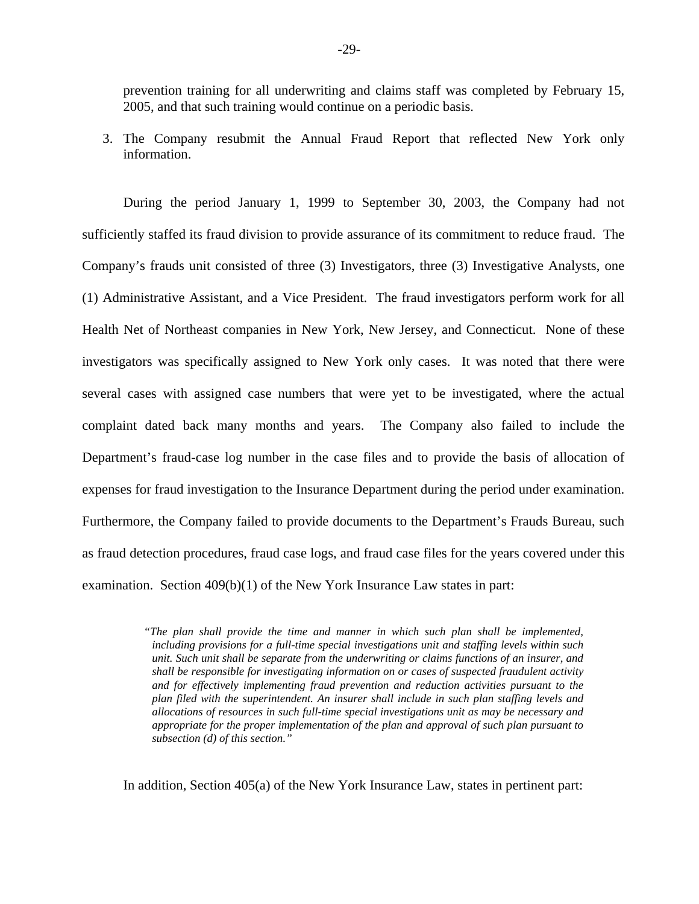prevention training for all underwriting and claims staff was completed by February 15, 2005, and that such training would continue on a periodic basis.

3. The Company resubmit the Annual Fraud Report that reflected New York only information.

During the period January 1, 1999 to September 30, 2003, the Company had not sufficiently staffed its fraud division to provide assurance of its commitment to reduce fraud. The Company's frauds unit consisted of three (3) Investigators, three (3) Investigative Analysts, one (1) Administrative Assistant, and a Vice President. The fraud investigators perform work for all Health Net of Northeast companies in New York, New Jersey, and Connecticut. None of these investigators was specifically assigned to New York only cases. It was noted that there were several cases with assigned case numbers that were yet to be investigated, where the actual complaint dated back many months and years. The Company also failed to include the Department's fraud-case log number in the case files and to provide the basis of allocation of expenses for fraud investigation to the Insurance Department during the period under examination. Furthermore, the Company failed to provide documents to the Department's Frauds Bureau, such as fraud detection procedures, fraud case logs, and fraud case files for the years covered under this examination. Section 409(b)(1) of the New York Insurance Law states in part:

> *allocations of resources in such full-time special investigations unit as may be necessary and appropriate for the proper implementation of the plan and approval of such plan pursuant to "The plan shall provide the time and manner in which such plan shall be implemented, including provisions for a full-time special investigations unit and staffing levels within such unit. Such unit shall be separate from the underwriting or claims functions of an insurer, and shall be responsible for investigating information on or cases of suspected fraudulent activity and for effectively implementing fraud prevention and reduction activities pursuant to the plan filed with the superintendent. An insurer shall include in such plan staffing levels and subsection (d) of this section."*

In addition, Section 405(a) of the New York Insurance Law, states in pertinent part: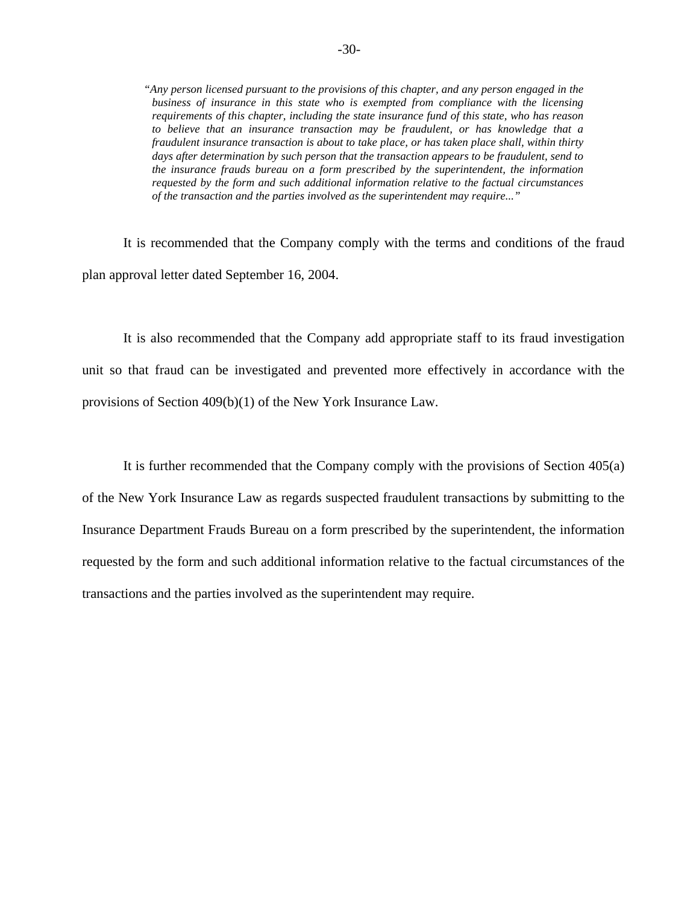*requirements of this chapter, including the state insurance fund of this state, who has reason fraudulent insurance transaction is about to take place, or has taken place shall, within thirty "Any person licensed pursuant to the provisions of this chapter, and any person engaged in the business of insurance in this state who is exempted from compliance with the licensing to believe that an insurance transaction may be fraudulent, or has knowledge that a days after determination by such person that the transaction appears to be fraudulent, send to the insurance frauds bureau on a form prescribed by the superintendent, the information requested by the form and such additional information relative to the factual circumstances of the transaction and the parties involved as the superintendent may require..."* 

It is recommended that the Company comply with the terms and conditions of the fraud plan approval letter dated September 16, 2004.

It is also recommended that the Company add appropriate staff to its fraud investigation unit so that fraud can be investigated and prevented more effectively in accordance with the provisions of Section 409(b)(1) of the New York Insurance Law.

It is further recommended that the Company comply with the provisions of Section 405(a) of the New York Insurance Law as regards suspected fraudulent transactions by submitting to the Insurance Department Frauds Bureau on a form prescribed by the superintendent, the information requested by the form and such additional information relative to the factual circumstances of the transactions and the parties involved as the superintendent may require.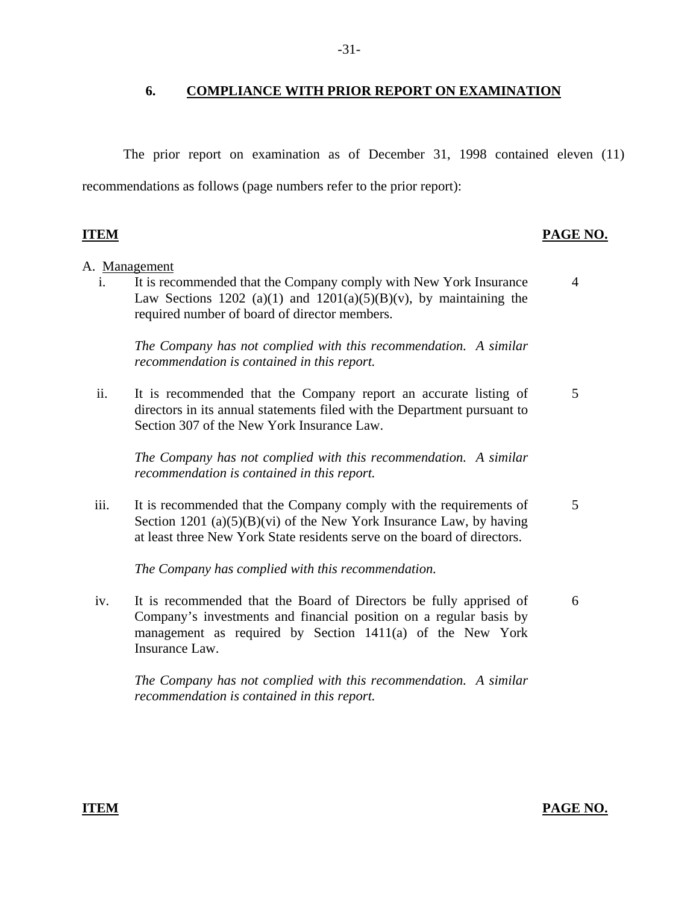## **6. COMPLIANCE WITH PRIOR REPORT ON EXAMINATION**

The prior report on examination as of December 31, 1998 contained eleven (11) recommendations as follows (page numbers refer to the prior report):

## **ITEM** PAGE NO.

### A. Management

i. It is recommended that the Company comply with New York Insurance Law Sections 1202 (a)(1) and  $1201(a)(5)(B)(v)$ , by maintaining the required number of board of director members. 4

*The Company has not complied with this recommendation. A similar recommendation is contained in this report.* 

ii. It is recommended that the Company report an accurate listing of directors in its annual statements filed with the Department pursuant to Section 307 of the New York Insurance Law. 5

*The Company has not complied with this recommendation. A similar recommendation is contained in this report.* 

iii. It is recommended that the Company comply with the requirements of Section 1201 (a) $(5)(B)(vi)$  of the New York Insurance Law, by having at least three New York State residents serve on the board of directors. 5

*The Company has complied with this recommendation.* 

iv. It is recommended that the Board of Directors be fully apprised of Company's investments and financial position on a regular basis by management as required by Section 1411(a) of the New York Insurance Law. 6

*The Company has not complied with this recommendation. A similar recommendation is contained in this report.* 

#### -31-

### **ITEM PAGE NO.**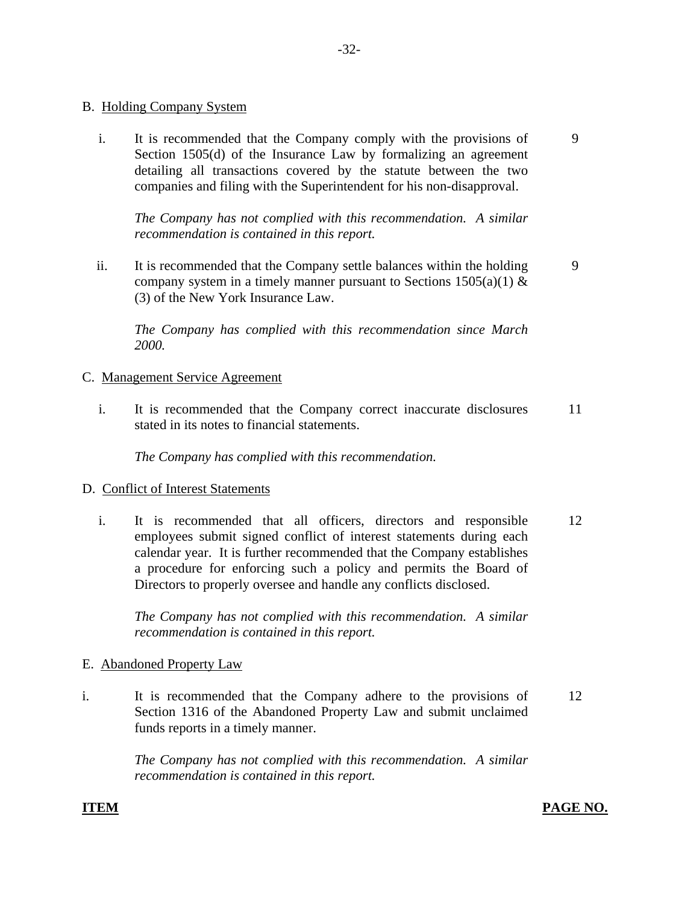## B. Holding Company System

i. It is recommended that the Company comply with the provisions of Section 1505(d) of the Insurance Law by formalizing an agreement detailing all transactions covered by the statute between the two companies and filing with the Superintendent for his non-disapproval. 9

*The Company has not complied with this recommendation. A similar recommendation is contained in this report.* 

ii. It is recommended that the Company settle balances within the holding company system in a timely manner pursuant to Sections  $1505(a)(1)$  & (3) of the New York Insurance Law.

*The Company has complied with this recommendation since March 2000.* 

## C. Management Service Agreement

i. It is recommended that the Company correct inaccurate disclosures stated in its notes to financial statements. 11

*The Company has complied with this recommendation.* 

## D. Conflict of Interest Statements

i. It is recommended that all officers, directors and responsible employees submit signed conflict of interest statements during each calendar year. It is further recommended that the Company establishes a procedure for enforcing such a policy and permits the Board of Directors to properly oversee and handle any conflicts disclosed. 12

*The Company has not complied with this recommendation. A similar recommendation is contained in this report.* 

## E. Abandoned Property Law

i. It is recommended that the Company adhere to the provisions of Section 1316 of the Abandoned Property Law and submit unclaimed funds reports in a timely manner. 12

> *The Company has not complied with this recommendation. A similar recommendation is contained in this report.*

## **ITEM PAGE NO.**

9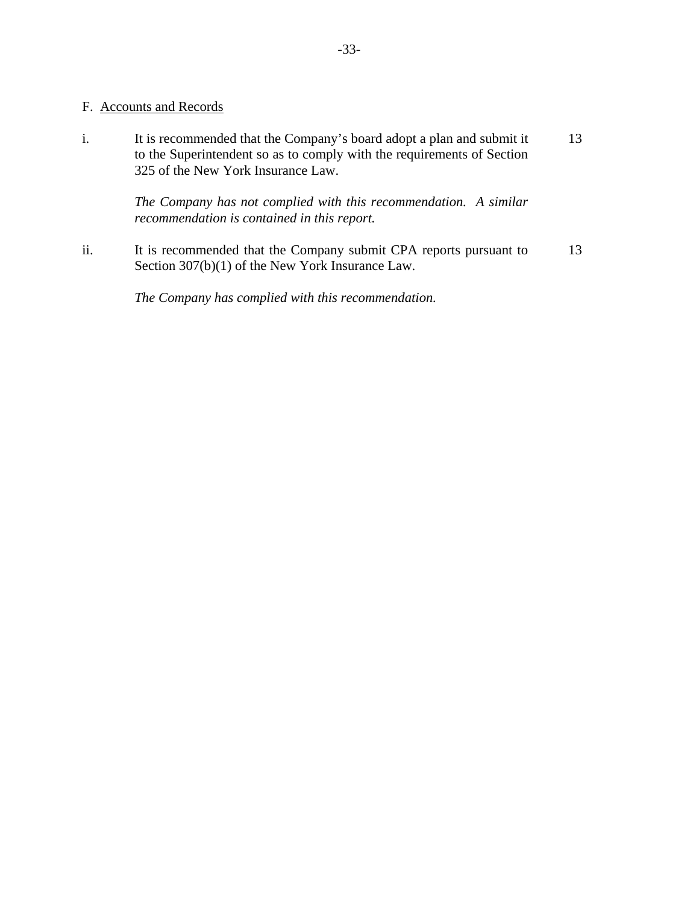## F. Accounts and Records

i. It is recommended that the Company's board adopt a plan and submit it to the Superintendent so as to comply with the requirements of Section 325 of the New York Insurance Law. 13

> *The Company has not complied with this recommendation. A similar recommendation is contained in this report.*

ii. It is recommended that the Company submit CPA reports pursuant to Section 307(b)(1) of the New York Insurance Law. 13

*The Company has complied with this recommendation.*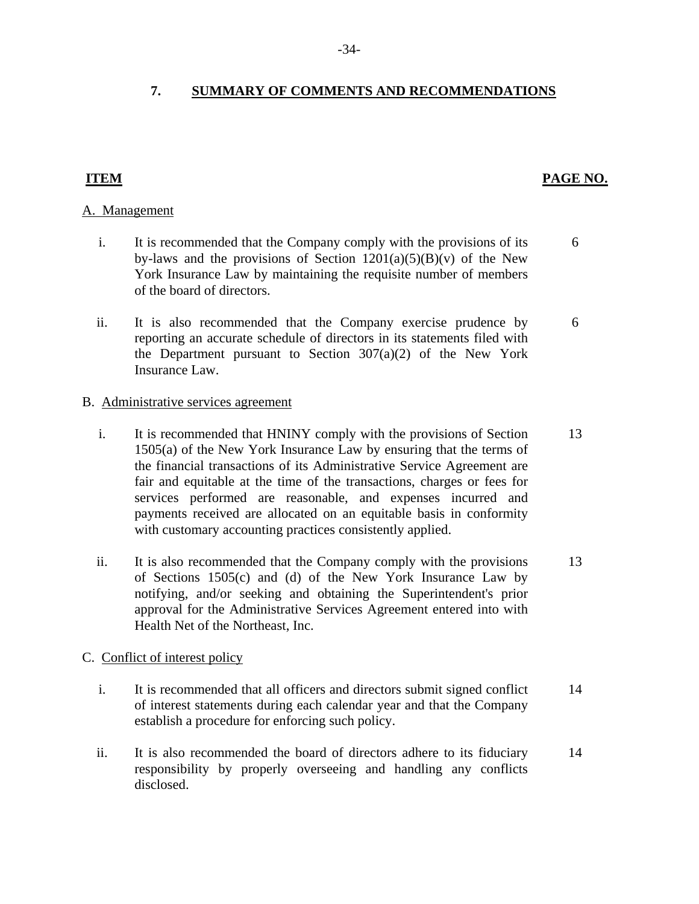## <span id="page-35-0"></span>**7. SUMMARY OF COMMENTS AND RECOMMENDATIONS**

## A. Management

- i. It is recommended that the Company comply with the provisions of its 6 by-laws and the provisions of Section  $1201(a)(5)(B)(v)$  of the New York Insurance Law by maintaining the requisite number of members of the board of directors.
- ii. It is also recommended that the Company exercise prudence by 6 reporting an accurate schedule of directors in its statements filed with the Department pursuant to Section  $307(a)(2)$  of the New York Insurance Law.

## B. Administrative services agreement

- i. It is recommended that HNINY comply with the provisions of Section 13 1505(a) of the New York Insurance Law by ensuring that the terms of the financial transactions of its Administrative Service Agreement are fair and equitable at the time of the transactions, charges or fees for services performed are reasonable, and expenses incurred and payments received are allocated on an equitable basis in conformity with customary accounting practices consistently applied.
- ii. It is also recommended that the Company comply with the provisions 13 of Sections 1505(c) and (d) of the New York Insurance Law by notifying, and/or seeking and obtaining the Superintendent's prior approval for the Administrative Services Agreement entered into with Health Net of the Northeast, Inc.

## C. Conflict of interest policy

- i. It is recommended that all officers and directors submit signed conflict 14 of interest statements during each calendar year and that the Company establish a procedure for enforcing such policy.
- ii. It is also recommended the board of directors adhere to its fiduciary 14 responsibility by properly overseeing and handling any conflicts disclosed.

## **ITEM** PAGE NO.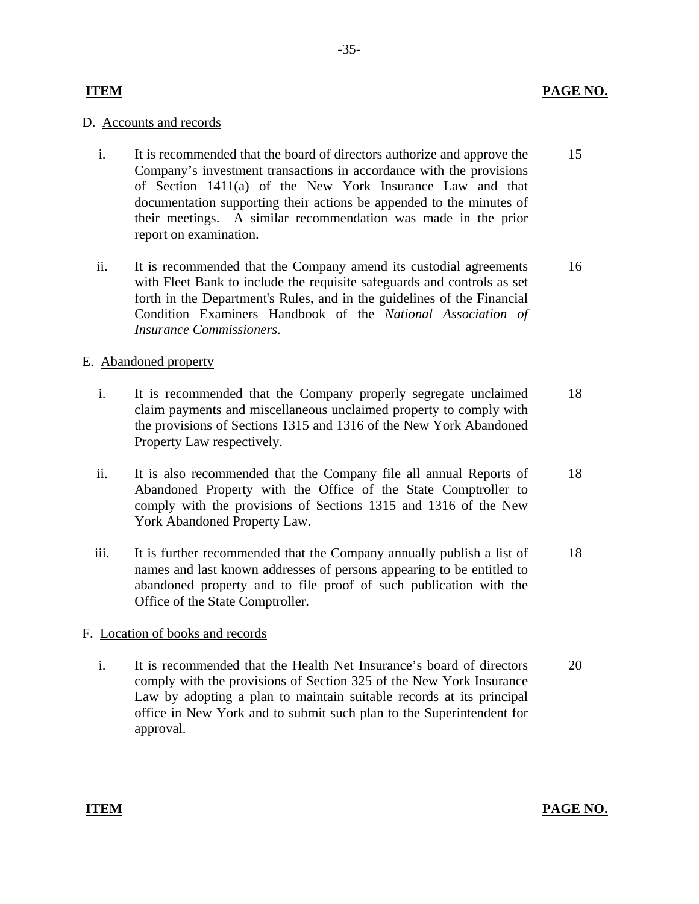## **ITEM**

## D. Accounts and records

- i. It is recommended that the board of directors authorize and approve the Company's investment transactions in accordance with the provisions of Section 1411(a) of the New York Insurance Law and that documentation supporting their actions be appended to the minutes of their meetings. A similar recommendation was made in the prior report on examination. 15
- ii. It is recommended that the Company amend its custodial agreements with Fleet Bank to include the requisite safeguards and controls as set forth in the Department's Rules, and in the guidelines of the Financial Condition Examiners Handbook of the *National Association of Insurance Commissioners*. 16

## E. Abandoned property

- i. It is recommended that the Company properly segregate unclaimed claim payments and miscellaneous unclaimed property to comply with the provisions of Sections 1315 and 1316 of the New York Abandoned Property Law respectively. 18
- ii. It is also recommended that the Company file all annual Reports of Abandoned Property with the Office of the State Comptroller to comply with the provisions of Sections 1315 and 1316 of the New York Abandoned Property Law. 18
- iii. It is further recommended that the Company annually publish a list of names and last known addresses of persons appearing to be entitled to abandoned property and to file proof of such publication with the Office of the State Comptroller. 18

### F. Location of books and records

i. It is recommended that the Health Net Insurance's board of directors comply with the provisions of Section 325 of the New York Insurance Law by adopting a plan to maintain suitable records at its principal office in New York and to submit such plan to the Superintendent for approval. 20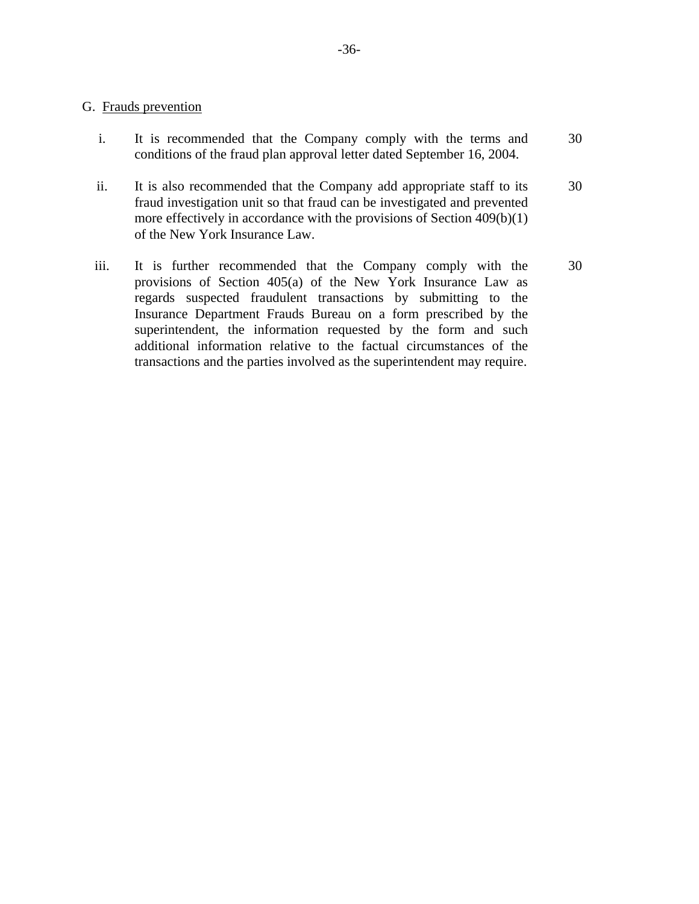## G. Frauds prevention

- i. It is recommended that the Company comply with the terms and conditions of the fraud plan approval letter dated September 16, 2004. 30
- ii. It is also recommended that the Company add appropriate staff to its fraud investigation unit so that fraud can be investigated and prevented more effectively in accordance with the provisions of Section 409(b)(1) of the New York Insurance Law. 30
- iii. It is further recommended that the Company comply with the provisions of Section 405(a) of the New York Insurance Law as regards suspected fraudulent transactions by submitting to the Insurance Department Frauds Bureau on a form prescribed by the superintendent, the information requested by the form and such additional information relative to the factual circumstances of the transactions and the parties involved as the superintendent may require. 30